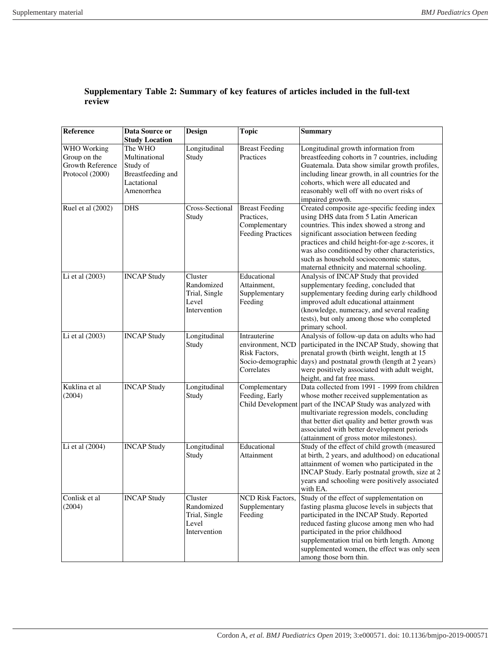## **Supplementary Table 2: Summary of key features of articles included in the full-text review**

| Reference                                                          | Data Source or<br><b>Study Location</b>                                                | Design                                                          | <b>Topic</b>                                                                         | <b>Summary</b>                                                                                                                                                                                                                                                                                                                                                             |
|--------------------------------------------------------------------|----------------------------------------------------------------------------------------|-----------------------------------------------------------------|--------------------------------------------------------------------------------------|----------------------------------------------------------------------------------------------------------------------------------------------------------------------------------------------------------------------------------------------------------------------------------------------------------------------------------------------------------------------------|
| WHO Working<br>Group on the<br>Growth Reference<br>Protocol (2000) | The WHO<br>Multinational<br>Study of<br>Breastfeeding and<br>Lactational<br>Amenorrhea | Longitudinal<br>Study                                           | <b>Breast Feeding</b><br>Practices                                                   | Longitudinal growth information from<br>breastfeeding cohorts in 7 countries, including<br>Guatemala. Data show similar growth profiles,<br>including linear growth, in all countries for the<br>cohorts, which were all educated and<br>reasonably well off with no overt risks of<br>impaired growth.                                                                    |
| Ruel et al (2002)                                                  | <b>DHS</b>                                                                             | Cross-Sectional<br>Study                                        | <b>Breast Feeding</b><br>Practices,<br>Complementary<br><b>Feeding Practices</b>     | Created composite age-specific feeding index<br>using DHS data from 5 Latin American<br>countries. This index showed a strong and<br>significant association between feeding<br>practices and child height-for-age z-scores, it<br>was also conditioned by other characteristics,<br>such as household socioeconomic status,<br>maternal ethnicity and maternal schooling. |
| Li et al (2003)                                                    | <b>INCAP Study</b>                                                                     | Cluster<br>Randomized<br>Trial, Single<br>Level<br>Intervention | Educational<br>Attainment,<br>Supplementary<br>Feeding                               | Analysis of INCAP Study that provided<br>supplementary feeding, concluded that<br>supplementary feeding during early childhood<br>improved adult educational attainment<br>(knowledge, numeracy, and several reading<br>tests), but only among those who completed<br>primary school.                                                                                      |
| Li et al (2003)                                                    | <b>INCAP Study</b>                                                                     | Longitudinal<br>Study                                           | Intrauterine<br>environment, NCD<br>Risk Factors,<br>Socio-demographic<br>Correlates | Analysis of follow-up data on adults who had<br>participated in the INCAP Study, showing that<br>prenatal growth (birth weight, length at 15<br>days) and postnatal growth (length at 2 years)<br>were positively associated with adult weight,<br>height, and fat free mass.                                                                                              |
| Kuklina et al<br>(2004)                                            | <b>INCAP Study</b>                                                                     | Longitudinal<br>Study                                           | Complementary<br>Feeding, Early<br>Child Development                                 | Data collected from 1991 - 1999 from children<br>whose mother received supplementation as<br>part of the INCAP Study was analyzed with<br>multivariate regression models, concluding<br>that better diet quality and better growth was<br>associated with better development periods<br>(attainment of gross motor milestones).                                            |
| Li et al (2004)                                                    | <b>INCAP Study</b>                                                                     | Longitudinal<br>Study                                           | Educational<br>Attainment                                                            | Study of the effect of child growth (measured<br>at birth, 2 years, and adulthood) on educational<br>attainment of women who participated in the<br>INCAP Study. Early postnatal growth, size at 2<br>years and schooling were positively associated<br>with EA.                                                                                                           |
| Conlisk et al<br>(2004)                                            | <b>INCAP Study</b>                                                                     | Cluster<br>Randomized<br>Trial, Single<br>Level<br>Intervention | NCD Risk Factors,<br>Supplementary<br>Feeding                                        | Study of the effect of supplementation on<br>fasting plasma glucose levels in subjects that<br>participated in the INCAP Study. Reported<br>reduced fasting glucose among men who had<br>participated in the prior childhood<br>supplementation trial on birth length. Among<br>supplemented women, the effect was only seen<br>among those born thin.                     |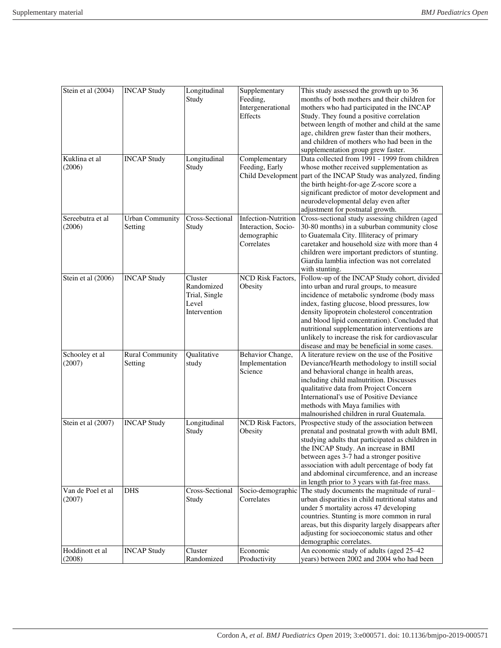| Stein et al (2004)          | <b>INCAP Study</b>                | Longitudinal<br>Study                                           | Supplementary<br>Feeding,<br>Intergenerational<br>Effects                      | This study assessed the growth up to 36<br>months of both mothers and their children for<br>mothers who had participated in the INCAP<br>Study. They found a positive correlation<br>between length of mother and child at the same<br>age, children grew faster than their mothers,<br>and children of mothers who had been in the<br>supplementation group grew faster.                                                                     |
|-----------------------------|-----------------------------------|-----------------------------------------------------------------|--------------------------------------------------------------------------------|-----------------------------------------------------------------------------------------------------------------------------------------------------------------------------------------------------------------------------------------------------------------------------------------------------------------------------------------------------------------------------------------------------------------------------------------------|
| Kuklina et al<br>(2006)     | <b>INCAP Study</b>                | Longitudinal<br>Study                                           | Complementary<br>Feeding, Early<br>Child Development                           | Data collected from 1991 - 1999 from children<br>whose mother received supplementation as<br>part of the INCAP Study was analyzed, finding<br>the birth height-for-age Z-score score a<br>significant predictor of motor development and<br>neurodevelopmental delay even after<br>adjustment for postnatal growth.                                                                                                                           |
| Sereebutra et al<br>(2006)  | <b>Urban Community</b><br>Setting | Cross-Sectional<br>Study                                        | <b>Infection-Nutrition</b><br>Interaction, Socio-<br>demographic<br>Correlates | Cross-sectional study assessing children (aged<br>30-80 months) in a suburban community close<br>to Guatemala City. Illiteracy of primary<br>caretaker and household size with more than 4<br>children were important predictors of stunting.<br>Giardia lamblia infection was not correlated<br>with stunting.                                                                                                                               |
| Stein et al (2006)          | <b>INCAP Study</b>                | Cluster<br>Randomized<br>Trial, Single<br>Level<br>Intervention | <b>NCD Risk Factors,</b><br>Obesity                                            | Follow-up of the INCAP Study cohort, divided<br>into urban and rural groups, to measure<br>incidence of metabolic syndrome (body mass<br>index, fasting glucose, blood pressures, low<br>density lipoprotein cholesterol concentration<br>and blood lipid concentration). Concluded that<br>nutritional supplementation interventions are<br>unlikely to increase the risk for cardiovascular<br>disease and may be beneficial in some cases. |
| Schooley et al<br>(2007)    | <b>Rural Community</b><br>Setting | Qualitative<br>study                                            | Behavior Change,<br>Implementation<br>Science                                  | A literature review on the use of the Positive<br>Deviance/Hearth methodology to instill social<br>and behavioral change in health areas,<br>including child malnutrition. Discusses<br>qualitative data from Project Concern<br>International's use of Positive Deviance<br>methods with Maya families with<br>malnourished children in rural Guatemala.                                                                                     |
| Stein et al (2007)          | <b>INCAP Study</b>                | Longitudinal<br>Study                                           | <b>NCD Risk Factors,</b><br>Obesity                                            | Prospective study of the association between<br>prenatal and postnatal growth with adult BMI,<br>studying adults that participated as children in<br>the INCAP Study. An increase in BMI<br>between ages 3-7 had a stronger positive<br>association with adult percentage of body fat<br>and abdominal circumference, and an increase<br>in length prior to 3 years with fat-free mass.                                                       |
| Van de Poel et al<br>(2007) | <b>DHS</b>                        | Cross-Sectional<br>Study                                        | Socio-demographic<br>Correlates                                                | The study documents the magnitude of rural-<br>urban disparities in child nutritional status and<br>under 5 mortality across 47 developing<br>countries. Stunting is more common in rural<br>areas, but this disparity largely disappears after<br>adjusting for socioeconomic status and other<br>demographic correlates.                                                                                                                    |
| Hoddinott et al<br>(2008)   | <b>INCAP Study</b>                | Cluster<br>Randomized                                           | Economic<br>Productivity                                                       | An economic study of adults (aged 25-42<br>years) between 2002 and 2004 who had been                                                                                                                                                                                                                                                                                                                                                          |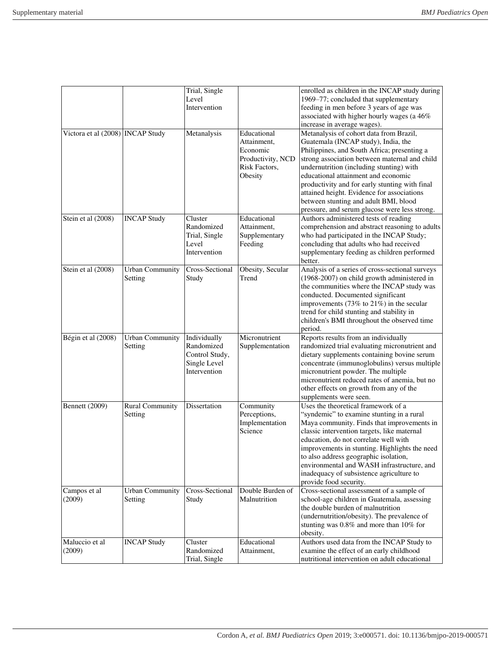|                                  |                        | Trial, Single   |                   | enrolled as children in the INCAP study during  |
|----------------------------------|------------------------|-----------------|-------------------|-------------------------------------------------|
|                                  |                        | Level           |                   | 1969-77; concluded that supplementary           |
|                                  |                        | Intervention    |                   | feeding in men before 3 years of age was        |
|                                  |                        |                 |                   | associated with higher hourly wages (a 46%      |
|                                  |                        |                 |                   | increase in average wages).                     |
| Victora et al (2008) INCAP Study |                        | Metanalysis     | Educational       | Metanalysis of cohort data from Brazil,         |
|                                  |                        |                 | Attainment,       | Guatemala (INCAP study), India, the             |
|                                  |                        |                 | Economic          | Philippines, and South Africa; presenting a     |
|                                  |                        |                 | Productivity, NCD | strong association between maternal and child   |
|                                  |                        |                 | Risk Factors,     | undernutrition (including stunting) with        |
|                                  |                        |                 |                   | educational attainment and economic             |
|                                  |                        |                 | Obesity           |                                                 |
|                                  |                        |                 |                   | productivity and for early stunting with final  |
|                                  |                        |                 |                   | attained height. Evidence for associations      |
|                                  |                        |                 |                   | between stunting and adult BMI, blood           |
|                                  |                        |                 |                   | pressure, and serum glucose were less strong.   |
| Stein et al (2008)               | <b>INCAP Study</b>     | Cluster         | Educational       | Authors administered tests of reading           |
|                                  |                        | Randomized      | Attainment,       | comprehension and abstract reasoning to adults  |
|                                  |                        | Trial, Single   | Supplementary     | who had participated in the INCAP Study;        |
|                                  |                        | Level           | Feeding           | concluding that adults who had received         |
|                                  |                        | Intervention    |                   | supplementary feeding as children performed     |
|                                  |                        |                 |                   | better.                                         |
| Stein et al (2008)               | <b>Urban Community</b> | Cross-Sectional | Obesity, Secular  | Analysis of a series of cross-sectional surveys |
|                                  | Setting                | Study           | Trend             | (1968-2007) on child growth administered in     |
|                                  |                        |                 |                   | the communities where the INCAP study was       |
|                                  |                        |                 |                   | conducted. Documented significant               |
|                                  |                        |                 |                   | improvements (73% to $21\%$ ) in the secular    |
|                                  |                        |                 |                   | trend for child stunting and stability in       |
|                                  |                        |                 |                   | children's BMI throughout the observed time     |
|                                  |                        |                 |                   | period.                                         |
| Bégin et al (2008)               | <b>Urban Community</b> | Individually    | Micronutrient     | Reports results from an individually            |
|                                  | Setting                | Randomized      | Supplementation   | randomized trial evaluating micronutrient and   |
|                                  |                        | Control Study,  |                   | dietary supplements containing bovine serum     |
|                                  |                        | Single Level    |                   | concentrate (immunoglobulins) versus multiple   |
|                                  |                        | Intervention    |                   | micronutrient powder. The multiple              |
|                                  |                        |                 |                   | micronutrient reduced rates of anemia, but no   |
|                                  |                        |                 |                   |                                                 |
|                                  |                        |                 |                   | other effects on growth from any of the         |
|                                  |                        |                 |                   | supplements were seen.                          |
| Bennett (2009)                   | <b>Rural Community</b> | Dissertation    | Community         | Uses the theoretical framework of a             |
|                                  | Setting                |                 | Perceptions,      | "syndemic" to examine stunting in a rural       |
|                                  |                        |                 | Implementation    | Maya community. Finds that improvements in      |
|                                  |                        |                 | Science           | classic intervention targets, like maternal     |
|                                  |                        |                 |                   | education, do not correlate well with           |
|                                  |                        |                 |                   | improvements in stunting. Highlights the need   |
|                                  |                        |                 |                   | to also address geographic isolation,           |
|                                  |                        |                 |                   | environmental and WASH infrastructure, and      |
|                                  |                        |                 |                   | inadequacy of subsistence agriculture to        |
|                                  |                        |                 |                   | provide food security.                          |
| Campos et al                     | <b>Urban Community</b> | Cross-Sectional | Double Burden of  | Cross-sectional assessment of a sample of       |
| (2009)                           | Setting                | Study           | Malnutrition      | school-age children in Guatemala, assessing     |
|                                  |                        |                 |                   | the double burden of malnutrition               |
|                                  |                        |                 |                   | (undernutrition/obesity). The prevalence of     |
|                                  |                        |                 |                   | stunting was 0.8% and more than 10% for         |
|                                  |                        |                 |                   | obesity.                                        |
| Maluccio et al                   | <b>INCAP Study</b>     | Cluster         | Educational       | Authors used data from the INCAP Study to       |
| (2009)                           |                        | Randomized      | Attainment,       | examine the effect of an early childhood        |
|                                  |                        | Trial, Single   |                   | nutritional intervention on adult educational   |
|                                  |                        |                 |                   |                                                 |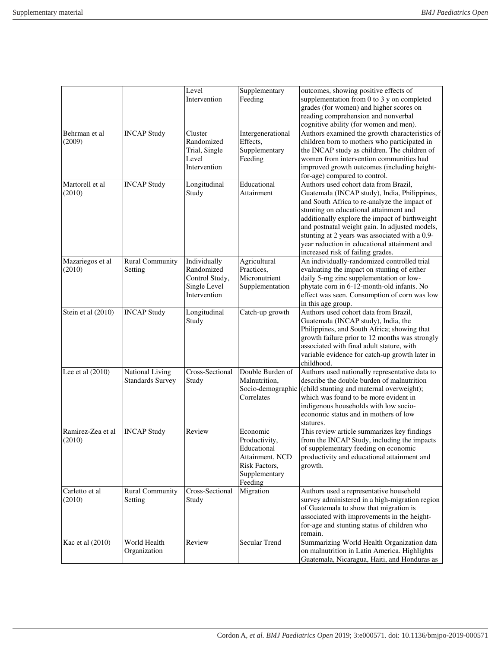| Behrman et al               | <b>INCAP Study</b>                         | Level<br>Intervention<br>Cluster                                             | Supplementary<br>Feeding<br>Intergenerational                                                            | outcomes, showing positive effects of<br>supplementation from $0$ to $3$ y on completed<br>grades (for women) and higher scores on<br>reading comprehension and nonverbal<br>cognitive ability (for women and men).<br>Authors examined the growth characteristics of                                                                                                                                                      |
|-----------------------------|--------------------------------------------|------------------------------------------------------------------------------|----------------------------------------------------------------------------------------------------------|----------------------------------------------------------------------------------------------------------------------------------------------------------------------------------------------------------------------------------------------------------------------------------------------------------------------------------------------------------------------------------------------------------------------------|
| (2009)                      |                                            | Randomized<br>Trial, Single<br>Level<br>Intervention                         | Effects,<br>Supplementary<br>Feeding                                                                     | children born to mothers who participated in<br>the INCAP study as children. The children of<br>women from intervention communities had<br>improved growth outcomes (including height-<br>for-age) compared to control.                                                                                                                                                                                                    |
| Martorell et al<br>(2010)   | <b>INCAP Study</b>                         | Longitudinal<br>Study                                                        | Educational<br>Attainment                                                                                | Authors used cohort data from Brazil,<br>Guatemala (INCAP study), India, Philippines,<br>and South Africa to re-analyze the impact of<br>stunting on educational attainment and<br>additionally explore the impact of birthweight<br>and postnatal weight gain. In adjusted models,<br>stunting at 2 years was associated with a 0.9-<br>year reduction in educational attainment and<br>increased risk of failing grades. |
| Mazariegos et al<br>(2010)  | <b>Rural Community</b><br>Setting          | Individually<br>Randomized<br>Control Study,<br>Single Level<br>Intervention | Agricultural<br>Practices,<br>Micronutrient<br>Supplementation                                           | An individually-randomized controlled trial<br>evaluating the impact on stunting of either<br>daily 5-mg zinc supplementation or low-<br>phytate corn in 6-12-month-old infants. No<br>effect was seen. Consumption of corn was low<br>in this age group.                                                                                                                                                                  |
| Stein et al (2010)          | <b>INCAP Study</b>                         | Longitudinal<br>Study                                                        | Catch-up growth                                                                                          | Authors used cohort data from Brazil,<br>Guatemala (INCAP study), India, the<br>Philippines, and South Africa; showing that<br>growth failure prior to 12 months was strongly<br>associated with final adult stature, with<br>variable evidence for catch-up growth later in<br>childhood.                                                                                                                                 |
| Lee et al $(2010)$          | National Living<br><b>Standards Survey</b> | Cross-Sectional<br>Study                                                     | Double Burden of<br>Malnutrition,<br>Correlates                                                          | Authors used nationally representative data to<br>describe the double burden of malnutrition<br>Socio-demographic (child stunting and maternal overweight);<br>which was found to be more evident in<br>indigenous households with low socio-<br>economic status and in mothers of low<br>statures.                                                                                                                        |
| Ramirez-Zea et al<br>(2010) | <b>INCAP Study</b>                         | Review                                                                       | Economic<br>Productivity,<br>Educational<br>Attainment, NCD<br>Risk Factors,<br>Supplementary<br>Feeding | This review article summarizes key findings<br>from the INCAP Study, including the impacts<br>of supplementary feeding on economic<br>productivity and educational attainment and<br>growth.                                                                                                                                                                                                                               |
| Carletto et al<br>(2010)    | <b>Rural Community</b><br>Setting          | Cross-Sectional<br>Study                                                     | Migration                                                                                                | Authors used a representative household<br>survey administered in a high-migration region<br>of Guatemala to show that migration is<br>associated with improvements in the height-<br>for-age and stunting status of children who<br>remain.                                                                                                                                                                               |
| Kac et al (2010)            | World Health<br>Organization               | Review                                                                       | Secular Trend                                                                                            | Summarizing World Health Organization data<br>on malnutrition in Latin America. Highlights<br>Guatemala, Nicaragua, Haiti, and Honduras as                                                                                                                                                                                                                                                                                 |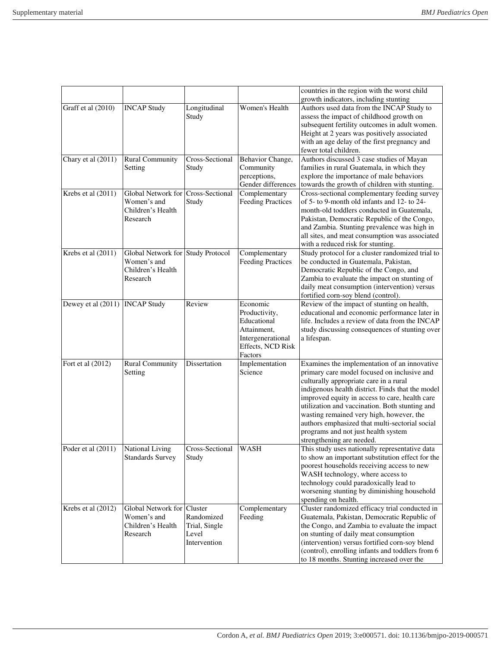|                                |                                                  |                 |                          | countries in the region with the worst child                                                  |
|--------------------------------|--------------------------------------------------|-----------------|--------------------------|-----------------------------------------------------------------------------------------------|
|                                |                                                  |                 |                          | growth indicators, including stunting                                                         |
| Graff et al (2010)             | <b>INCAP Study</b>                               | Longitudinal    | Women's Health           | Authors used data from the INCAP Study to                                                     |
|                                |                                                  | Study           |                          | assess the impact of childhood growth on                                                      |
|                                |                                                  |                 |                          | subsequent fertility outcomes in adult women.                                                 |
|                                |                                                  |                 |                          | Height at 2 years was positively associated                                                   |
|                                |                                                  |                 |                          | with an age delay of the first pregnancy and                                                  |
|                                |                                                  |                 |                          | fewer total children.                                                                         |
| Chary et al (2011)             | Rural Community                                  | Cross-Sectional | Behavior Change,         | Authors discussed 3 case studies of Mayan                                                     |
|                                | Setting                                          | Study           | Community                | families in rural Guatemala, in which they                                                    |
|                                |                                                  |                 | perceptions,             | explore the importance of male behaviors                                                      |
|                                |                                                  |                 | Gender differences       | towards the growth of children with stunting.                                                 |
| Krebs et al (2011)             | Global Network for                               | Cross-Sectional | Complementary            | Cross-sectional complementary feeding survey                                                  |
|                                | Women's and                                      | Study           | <b>Feeding Practices</b> | of 5- to 9-month old infants and 12- to 24-                                                   |
|                                | Children's Health                                |                 |                          | month-old toddlers conducted in Guatemala,                                                    |
|                                | Research                                         |                 |                          | Pakistan, Democratic Republic of the Congo,                                                   |
|                                |                                                  |                 |                          | and Zambia. Stunting prevalence was high in                                                   |
|                                |                                                  |                 |                          | all sites, and meat consumption was associated                                                |
|                                |                                                  |                 |                          | with a reduced risk for stunting.                                                             |
|                                |                                                  |                 |                          |                                                                                               |
| Krebs et al (2011)             | Global Network for Study Protocol<br>Women's and |                 | Complementary            | Study protocol for a cluster randomized trial to                                              |
|                                | Children's Health                                |                 | <b>Feeding Practices</b> | be conducted in Guatemala, Pakistan,                                                          |
|                                |                                                  |                 |                          | Democratic Republic of the Congo, and                                                         |
|                                | Research                                         |                 |                          | Zambia to evaluate the impact on stunting of                                                  |
|                                |                                                  |                 |                          | daily meat consumption (intervention) versus                                                  |
|                                |                                                  |                 |                          | fortified corn-soy blend (control).                                                           |
| Dewey et al (2011) INCAP Study |                                                  | Review          | Economic                 | Review of the impact of stunting on health,                                                   |
|                                |                                                  |                 | Productivity,            | educational and economic performance later in                                                 |
|                                |                                                  |                 | Educational              | life. Includes a review of data from the INCAP                                                |
|                                |                                                  |                 | Attainment,              | study discussing consequences of stunting over                                                |
|                                |                                                  |                 | Intergenerational        | a lifespan.                                                                                   |
|                                |                                                  |                 | Effects, NCD Risk        |                                                                                               |
|                                |                                                  |                 | Factors                  |                                                                                               |
| Fort et al (2012)              | <b>Rural Community</b>                           | Dissertation    | Implementation           | Examines the implementation of an innovative                                                  |
|                                | Setting                                          |                 | Science                  | primary care model focused on inclusive and                                                   |
|                                |                                                  |                 |                          | culturally appropriate care in a rural                                                        |
|                                |                                                  |                 |                          | indigenous health district. Finds that the model                                              |
|                                |                                                  |                 |                          | improved equity in access to care, health care                                                |
|                                |                                                  |                 |                          | utilization and vaccination. Both stunting and                                                |
|                                |                                                  |                 |                          | wasting remained very high, however, the                                                      |
|                                |                                                  |                 |                          | authors emphasized that multi-sectorial social                                                |
|                                |                                                  |                 |                          | programs and not just health system                                                           |
|                                |                                                  |                 |                          | strengthening are needed.                                                                     |
| Poder et al (2011)             | National Living                                  | Cross-Sectional | <b>WASH</b>              | This study uses nationally representative data                                                |
|                                | <b>Standards Survey</b>                          | Study           |                          | to show an important substitution effect for the                                              |
|                                |                                                  |                 |                          | poorest households receiving access to new                                                    |
|                                |                                                  |                 |                          | WASH technology, where access to                                                              |
|                                |                                                  |                 |                          | technology could paradoxically lead to                                                        |
|                                |                                                  |                 |                          | worsening stunting by diminishing household                                                   |
|                                |                                                  |                 |                          | spending on health.                                                                           |
| Krebs et al (2012)             | Global Network for Cluster                       |                 | Complementary            | Cluster randomized efficacy trial conducted in                                                |
|                                | Women's and                                      | Randomized      | Feeding                  | Guatemala, Pakistan, Democratic Republic of                                                   |
|                                | Children's Health                                |                 |                          | the Congo, and Zambia to evaluate the impact                                                  |
|                                | Research                                         | Trial, Single   |                          |                                                                                               |
|                                |                                                  | Level           |                          | on stunting of daily meat consumption                                                         |
|                                |                                                  | Intervention    |                          | (intervention) versus fortified corn-soy blend                                                |
|                                |                                                  |                 |                          |                                                                                               |
|                                |                                                  |                 |                          | (control), enrolling infants and toddlers from 6<br>to 18 months. Stunting increased over the |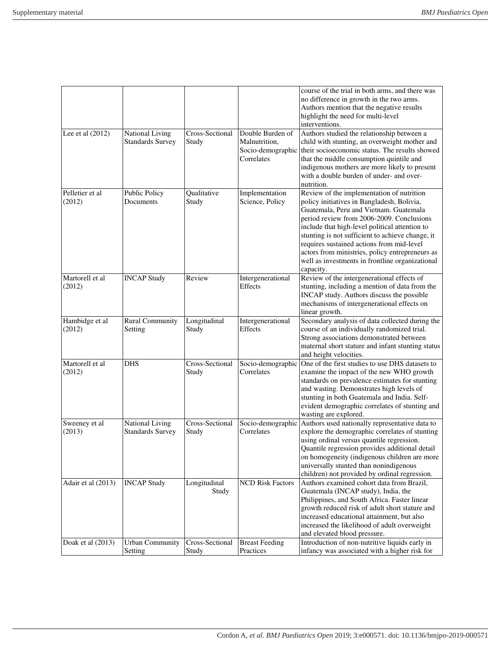|                    |                         |                 |                         | course of the trial in both arms, and there was                  |
|--------------------|-------------------------|-----------------|-------------------------|------------------------------------------------------------------|
|                    |                         |                 |                         | no difference in growth in the two arms.                         |
|                    |                         |                 |                         | Authors mention that the negative results                        |
|                    |                         |                 |                         | highlight the need for multi-level                               |
|                    |                         |                 |                         | interventions.                                                   |
|                    |                         | Cross-Sectional | Double Burden of        |                                                                  |
| Lee et al $(2012)$ | National Living         |                 |                         | Authors studied the relationship between a                       |
|                    | <b>Standards Survey</b> | Study           | Malnutrition,           | child with stunting, an overweight mother and                    |
|                    |                         |                 |                         | Socio-demographic their socioeconomic status. The results showed |
|                    |                         |                 | Correlates              | that the middle consumption quintile and                         |
|                    |                         |                 |                         | indigenous mothers are more likely to present                    |
|                    |                         |                 |                         | with a double burden of under- and over-                         |
|                    |                         |                 |                         | nutrition.                                                       |
| Pelletier et al    | Public Policy           | Qualitative     | Implementation          | Review of the implementation of nutrition                        |
| (2012)             | Documents               | Study           | Science, Policy         | policy initiatives in Bangladesh, Bolivia,                       |
|                    |                         |                 |                         | Guatemala, Peru and Vietnam. Guatemala                           |
|                    |                         |                 |                         | period review from 2006-2009. Conclusions                        |
|                    |                         |                 |                         | include that high-level political attention to                   |
|                    |                         |                 |                         | stunting is not sufficient to achieve change, it                 |
|                    |                         |                 |                         | requires sustained actions from mid-level                        |
|                    |                         |                 |                         |                                                                  |
|                    |                         |                 |                         | actors from ministries, policy entrepreneurs as                  |
|                    |                         |                 |                         | well as investments in frontline organizational                  |
|                    |                         |                 |                         | capacity.                                                        |
| Martorell et al    | <b>INCAP Study</b>      | Review          | Intergenerational       | Review of the intergenerational effects of                       |
| (2012)             |                         |                 | <b>Effects</b>          | stunting, including a mention of data from the                   |
|                    |                         |                 |                         | INCAP study. Authors discuss the possible                        |
|                    |                         |                 |                         | mechanisms of intergenerational effects on                       |
|                    |                         |                 |                         | linear growth.                                                   |
| Hambidge et al     | <b>Rural Community</b>  | Longitudinal    | Intergenerational       | Secondary analysis of data collected during the                  |
| (2012)             | Setting                 | Study           | Effects                 | course of an individually randomized trial.                      |
|                    |                         |                 |                         | Strong associations demonstrated between                         |
|                    |                         |                 |                         | maternal short stature and infant stunting status                |
|                    |                         |                 |                         | and height velocities.                                           |
|                    |                         |                 |                         |                                                                  |
| Martorell et al    | <b>DHS</b>              | Cross-Sectional | Socio-demographic       | One of the first studies to use DHS datasets to                  |
| (2012)             |                         | Study           | Correlates              | examine the impact of the new WHO growth                         |
|                    |                         |                 |                         | standards on prevalence estimates for stunting                   |
|                    |                         |                 |                         | and wasting. Demonstrates high levels of                         |
|                    |                         |                 |                         | stunting in both Guatemala and India. Self-                      |
|                    |                         |                 |                         | evident demographic correlates of stunting and                   |
|                    |                         |                 |                         | wasting are explored.                                            |
| Sweeney et al      | National Living         | Cross-Sectional |                         | Socio-demographic Authors used nationally representative data to |
| (2013)             | <b>Standards Survey</b> | Study           | Correlates              | explore the demographic correlates of stunting                   |
|                    |                         |                 |                         | using ordinal versus quantile regression.                        |
|                    |                         |                 |                         | Quantile regression provides additional detail                   |
|                    |                         |                 |                         | on homogeneity (indigenous children are more                     |
|                    |                         |                 |                         | universally stunted than nonindigenous                           |
|                    |                         |                 |                         | children) not provided by ordinal regression.                    |
| Adair et al (2013) | <b>INCAP Study</b>      | Longitudinal    | <b>NCD Risk Factors</b> | Authors examined cohort data from Brazil.                        |
|                    |                         |                 |                         |                                                                  |
|                    |                         | Study           |                         | Guatemala (INCAP study), India, the                              |
|                    |                         |                 |                         | Philippines, and South Africa. Faster linear                     |
|                    |                         |                 |                         | growth reduced risk of adult short stature and                   |
|                    |                         |                 |                         | increased educational attainment, but also                       |
|                    |                         |                 |                         | increased the likelihood of adult overweight                     |
|                    |                         |                 |                         | and elevated blood pressure.                                     |
| Doak et al (2013)  | <b>Urban Community</b>  | Cross-Sectional | <b>Breast Feeding</b>   | Introduction of non-nutritive liquids early in                   |
|                    | Setting                 | Study           | Practices               | infancy was associated with a higher risk for                    |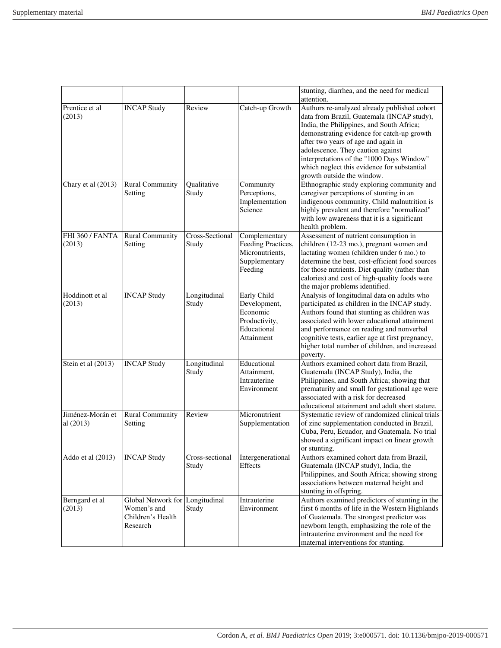|                    |                                 |                 |                    | stunting, diarrhea, and the need for medical                                             |
|--------------------|---------------------------------|-----------------|--------------------|------------------------------------------------------------------------------------------|
| Prentice et al     | <b>INCAP Study</b>              | Review          | Catch-up Growth    | attention.<br>Authors re-analyzed already published cohort                               |
| (2013)             |                                 |                 |                    | data from Brazil, Guatemala (INCAP study),                                               |
|                    |                                 |                 |                    | India, the Philippines, and South Africa;                                                |
|                    |                                 |                 |                    | demonstrating evidence for catch-up growth<br>after two years of age and again in        |
|                    |                                 |                 |                    |                                                                                          |
|                    |                                 |                 |                    | adolescence. They caution against                                                        |
|                    |                                 |                 |                    | interpretations of the "1000 Days Window"<br>which neglect this evidence for substantial |
|                    |                                 |                 |                    | growth outside the window.                                                               |
| Chary et al (2013) | <b>Rural Community</b>          | Qualitative     | Community          | Ethnographic study exploring community and                                               |
|                    | Setting                         | Study           | Perceptions,       | caregiver perceptions of stunting in an                                                  |
|                    |                                 |                 | Implementation     | indigenous community. Child malnutrition is                                              |
|                    |                                 |                 | Science            | highly prevalent and therefore "normalized"                                              |
|                    |                                 |                 |                    | with low awareness that it is a significant                                              |
|                    |                                 |                 |                    | health problem.                                                                          |
| FHI 360 / FANTA    | <b>Rural Community</b>          | Cross-Sectional | Complementary      | Assessment of nutrient consumption in                                                    |
| (2013)             | Setting                         | Study           | Feeding Practices, | children (12-23 mo.), pregnant women and                                                 |
|                    |                                 |                 | Micronutrients,    | lactating women (children under 6 mo.) to                                                |
|                    |                                 |                 | Supplementary      | determine the best, cost-efficient food sources                                          |
|                    |                                 |                 | Feeding            | for those nutrients. Diet quality (rather than                                           |
|                    |                                 |                 |                    | calories) and cost of high-quality foods were                                            |
|                    |                                 |                 |                    | the major problems identified.                                                           |
| Hoddinott et al    | <b>INCAP Study</b>              | Longitudinal    | Early Child        | Analysis of longitudinal data on adults who                                              |
| (2013)             |                                 | Study           | Development,       | participated as children in the INCAP study.                                             |
|                    |                                 |                 | Economic           | Authors found that stunting as children was                                              |
|                    |                                 |                 | Productivity,      | associated with lower educational attainment                                             |
|                    |                                 |                 | Educational        | and performance on reading and nonverbal                                                 |
|                    |                                 |                 | Attainment         | cognitive tests, earlier age at first pregnancy,                                         |
|                    |                                 |                 |                    | higher total number of children, and increased                                           |
|                    |                                 |                 |                    | poverty.                                                                                 |
| Stein et al (2013) | <b>INCAP Study</b>              | Longitudinal    | Educational        | Authors examined cohort data from Brazil,                                                |
|                    |                                 | Study           | Attainment,        | Guatemala (INCAP Study), India, the                                                      |
|                    |                                 |                 | Intrauterine       | Philippines, and South Africa; showing that                                              |
|                    |                                 |                 | Environment        | prematurity and small for gestational age were                                           |
|                    |                                 |                 |                    | associated with a risk for decreased                                                     |
|                    |                                 |                 |                    | educational attainment and adult short stature.                                          |
| Jiménez-Morán et   | <b>Rural Community</b>          | Review          | Micronutrient      | Systematic review of randomized clinical trials                                          |
| al (2013)          | Setting                         |                 | Supplementation    | of zinc supplementation conducted in Brazil,                                             |
|                    |                                 |                 |                    | Cuba, Peru, Ecuador, and Guatemala. No trial                                             |
|                    |                                 |                 |                    | showed a significant impact on linear growth                                             |
|                    |                                 |                 |                    | or stunting.                                                                             |
| Addo et al (2013)  | <b>INCAP Study</b>              | Cross-sectional | Intergenerational  | Authors examined cohort data from Brazil,                                                |
|                    |                                 | Study           | Effects            | Guatemala (INCAP study), India, the                                                      |
|                    |                                 |                 |                    | Philippines, and South Africa; showing strong                                            |
|                    |                                 |                 |                    | associations between maternal height and                                                 |
|                    |                                 |                 |                    | stunting in offspring.                                                                   |
| Berngard et al     | Global Network for Longitudinal |                 | Intrauterine       | Authors examined predictors of stunting in the                                           |
| (2013)             | Women's and                     | Study           | Environment        | first 6 months of life in the Western Highlands                                          |
|                    | Children's Health               |                 |                    | of Guatemala. The strongest predictor was                                                |
|                    | Research                        |                 |                    | newborn length, emphasizing the role of the                                              |
|                    |                                 |                 |                    | intrauterine environment and the need for                                                |
|                    |                                 |                 |                    | maternal interventions for stunting.                                                     |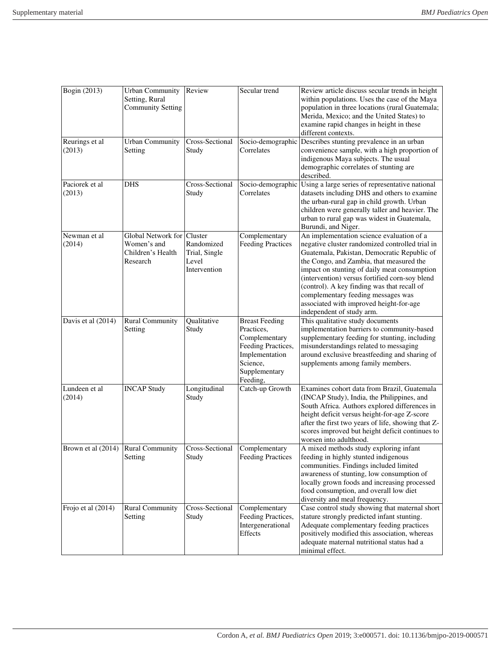| Bogin (2013)                       | Urban Community Review<br>Setting, Rural<br><b>Community Setting</b> |                                                                 | Secular trend                                                                                                                         | Review article discuss secular trends in height<br>within populations. Uses the case of the Maya<br>population in three locations (rural Guatemala;<br>Merida, Mexico; and the United States) to<br>examine rapid changes in height in these<br>different contexts.                                                                                                                                                                                    |
|------------------------------------|----------------------------------------------------------------------|-----------------------------------------------------------------|---------------------------------------------------------------------------------------------------------------------------------------|--------------------------------------------------------------------------------------------------------------------------------------------------------------------------------------------------------------------------------------------------------------------------------------------------------------------------------------------------------------------------------------------------------------------------------------------------------|
| Reurings et al<br>(2013)           | <b>Urban Community</b><br>Setting                                    | Cross-Sectional<br>Study                                        | Socio-demographic<br>Correlates                                                                                                       | Describes stunting prevalence in an urban<br>convenience sample, with a high proportion of<br>indigenous Maya subjects. The usual<br>demographic correlates of stunting are<br>described.                                                                                                                                                                                                                                                              |
| Paciorek et al<br>(2013)           | <b>DHS</b>                                                           | Cross-Sectional<br>Study                                        | Socio-demographic<br>Correlates                                                                                                       | Using a large series of representative national<br>datasets including DHS and others to examine<br>the urban-rural gap in child growth. Urban<br>children were generally taller and heavier. The<br>urban to rural gap was widest in Guatemala,<br>Burundi, and Niger.                                                                                                                                                                                 |
| Newman et al<br>(2014)             | Global Network for<br>Women's and<br>Children's Health<br>Research   | Cluster<br>Randomized<br>Trial, Single<br>Level<br>Intervention | Complementary<br><b>Feeding Practices</b>                                                                                             | An implementation science evaluation of a<br>negative cluster randomized controlled trial in<br>Guatemala, Pakistan, Democratic Republic of<br>the Congo, and Zambia, that measured the<br>impact on stunting of daily meat consumption<br>(intervention) versus fortified corn-soy blend<br>(control). A key finding was that recall of<br>complementary feeding messages was<br>associated with improved height-for-age<br>independent of study arm. |
| Davis et al (2014)                 | <b>Rural Community</b><br>Setting                                    | Qualitative<br>Study                                            | <b>Breast Feeding</b><br>Practices,<br>Complementary<br>Feeding Practices,<br>Implementation<br>Science,<br>Supplementary<br>Feeding, | This qualitative study documents<br>implementation barriers to community-based<br>supplementary feeding for stunting, including<br>misunderstandings related to messaging<br>around exclusive breastfeeding and sharing of<br>supplements among family members.                                                                                                                                                                                        |
| Lundeen et al<br>(2014)            | <b>INCAP Study</b>                                                   | Longitudinal<br>Study                                           | Catch-up Growth                                                                                                                       | Examines cohort data from Brazil, Guatemala<br>(INCAP Study), India, the Philippines, and<br>South Africa. Authors explored differences in<br>height deficit versus height-for-age Z-score<br>after the first two years of life, showing that Z-<br>scores improved but height deficit continues to<br>worsen into adulthood.                                                                                                                          |
| Brown et al (2014) Rural Community | Setting                                                              | Cross-Sectional<br>Study                                        | Complementary<br><b>Feeding Practices</b>                                                                                             | A mixed methods study exploring infant<br>feeding in highly stunted indigenous<br>communities. Findings included limited<br>awareness of stunting, low consumption of<br>locally grown foods and increasing processed<br>food consumption, and overall low diet<br>diversity and meal frequency.                                                                                                                                                       |
| Frojo et al (2014)                 | <b>Rural Community</b><br>Setting                                    | Cross-Sectional<br>Study                                        | Complementary<br>Feeding Practices,<br>Intergenerational<br>Effects                                                                   | Case control study showing that maternal short<br>stature strongly predicted infant stunting.<br>Adequate complementary feeding practices<br>positively modified this association, whereas<br>adequate maternal nutritional status had a<br>minimal effect.                                                                                                                                                                                            |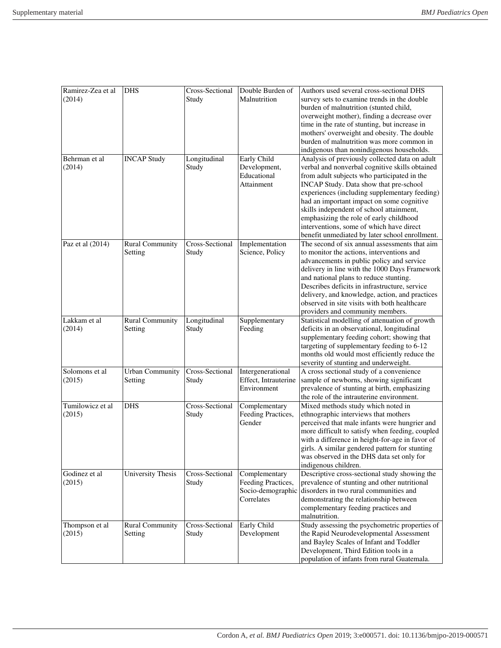| Ramirez-Zea et al<br>(2014) | <b>DHS</b>                        | Cross-Sectional<br>Study | Double Burden of<br>Malnutrition                                       | Authors used several cross-sectional DHS<br>survey sets to examine trends in the double<br>burden of malnutrition (stunted child,<br>overweight mother), finding a decrease over<br>time in the rate of stunting, but increase in<br>mothers' overweight and obesity. The double<br>burden of malnutrition was more common in<br>indigenous than nonindigenous households.                                                                                                   |
|-----------------------------|-----------------------------------|--------------------------|------------------------------------------------------------------------|------------------------------------------------------------------------------------------------------------------------------------------------------------------------------------------------------------------------------------------------------------------------------------------------------------------------------------------------------------------------------------------------------------------------------------------------------------------------------|
| Behrman et al<br>(2014)     | <b>INCAP Study</b>                | Longitudinal<br>Study    | Early Child<br>Development,<br>Educational<br>Attainment               | Analysis of previously collected data on adult<br>verbal and nonverbal cognitive skills obtained<br>from adult subjects who participated in the<br>INCAP Study. Data show that pre-school<br>experiences (including supplementary feeding)<br>had an important impact on some cognitive<br>skills independent of school attainment,<br>emphasizing the role of early childhood<br>interventions, some of which have direct<br>benefit unmediated by later school enrollment. |
| Paz et al (2014)            | Rural Community<br>Setting        | Cross-Sectional<br>Study | Implementation<br>Science, Policy                                      | The second of six annual assessments that aim<br>to monitor the actions, interventions and<br>advancements in public policy and service<br>delivery in line with the 1000 Days Framework<br>and national plans to reduce stunting.<br>Describes deficits in infrastructure, service<br>delivery, and knowledge, action, and practices<br>observed in site visits with both healthcare<br>providers and community members.                                                    |
| Lakkam et al<br>(2014)      | <b>Rural Community</b><br>Setting | Longitudinal<br>Study    | Supplementary<br>Feeding                                               | Statistical modelling of attenuation of growth<br>deficits in an observational, longitudinal<br>supplementary feeding cohort; showing that<br>targeting of supplementary feeding to 6-12<br>months old would most efficiently reduce the<br>severity of stunting and underweight.                                                                                                                                                                                            |
| Solomons et al<br>(2015)    | <b>Urban Community</b><br>Setting | Cross-Sectional<br>Study | Intergenerational<br>Effect, Intrauterine<br>Environment               | A cross sectional study of a convenience<br>sample of newborns, showing significant<br>prevalence of stunting at birth, emphasizing<br>the role of the intrauterine environment.                                                                                                                                                                                                                                                                                             |
| Tumilowicz et al<br>(2015)  | <b>DHS</b>                        | Cross-Sectional<br>Study | Complementary<br>Feeding Practices,<br>Gender                          | Mixed methods study which noted in<br>ethnographic interviews that mothers<br>perceived that male infants were hungrier and<br>more difficult to satisfy when feeding, coupled<br>with a difference in height-for-age in favor of<br>girls. A similar gendered pattern for stunting<br>was observed in the DHS data set only for<br>indigenous children.                                                                                                                     |
| Godinez et al<br>(2015)     | University Thesis                 | Cross-Sectional<br>Study | Complementary<br>Feeding Practices,<br>Socio-demographic<br>Correlates | Descriptive cross-sectional study showing the<br>prevalence of stunting and other nutritional<br>disorders in two rural communities and<br>demonstrating the relationship between<br>complementary feeding practices and<br>malnutrition.                                                                                                                                                                                                                                    |
| Thompson et al<br>(2015)    | <b>Rural Community</b><br>Setting | Cross-Sectional<br>Study | Early Child<br>Development                                             | Study assessing the psychometric properties of<br>the Rapid Neurodevelopmental Assessment<br>and Bayley Scales of Infant and Toddler<br>Development, Third Edition tools in a<br>population of infants from rural Guatemala.                                                                                                                                                                                                                                                 |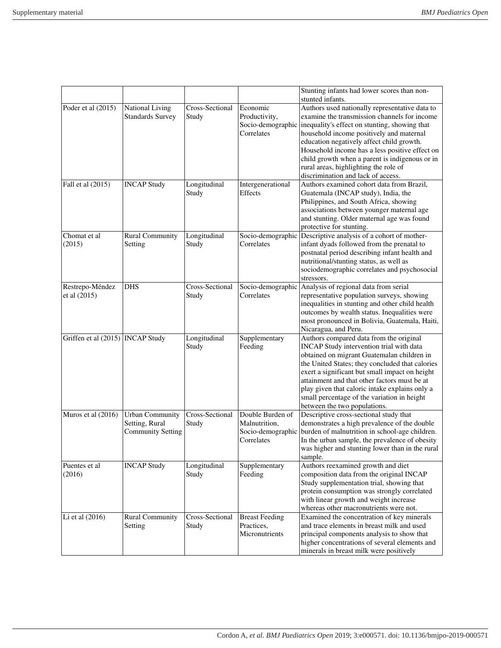|                                    |                          |                 |                       | Stunting infants had lower scores than non-                     |
|------------------------------------|--------------------------|-----------------|-----------------------|-----------------------------------------------------------------|
|                                    |                          |                 |                       | stunted infants.                                                |
| Poder et al (2015)                 | National Living          | Cross-Sectional | Economic              | Authors used nationally representative data to                  |
|                                    | <b>Standards Survey</b>  | Study           | Productivity,         | examine the transmission channels for income                    |
|                                    |                          |                 |                       | Socio-demographic inequality's effect on stunting, showing that |
|                                    |                          |                 | Correlates            | household income positively and maternal                        |
|                                    |                          |                 |                       | education negatively affect child growth.                       |
|                                    |                          |                 |                       | Household income has a less positive effect on                  |
|                                    |                          |                 |                       | child growth when a parent is indigenous or in                  |
|                                    |                          |                 |                       | rural areas, highlighting the role of                           |
|                                    |                          |                 |                       | discrimination and lack of access.                              |
| Fall et al (2015)                  | <b>INCAP Study</b>       | Longitudinal    | Intergenerational     | Authors examined cohort data from Brazil,                       |
|                                    |                          | Study           | Effects               | Guatemala (INCAP study), India, the                             |
|                                    |                          |                 |                       | Philippines, and South Africa, showing                          |
|                                    |                          |                 |                       | associations between younger maternal age                       |
|                                    |                          |                 |                       | and stunting. Older maternal age was found                      |
|                                    |                          |                 |                       | protective for stunting.                                        |
| Chomat et al                       | Rural Community          | Longitudinal    | Socio-demographic     | Descriptive analysis of a cohort of mother-                     |
| (2015)                             | Setting                  | Study           | Correlates            | infant dyads followed from the prenatal to                      |
|                                    |                          |                 |                       | postnatal period describing infant health and                   |
|                                    |                          |                 |                       | nutritional/stunting status, as well as                         |
|                                    |                          |                 |                       | sociodemographic correlates and psychosocial                    |
|                                    |                          |                 |                       | stressors.                                                      |
| Restrepo-Méndez                    | <b>DHS</b>               | Cross-Sectional |                       | Socio-demographic Analysis of regional data from serial         |
| et al (2015)                       |                          | Study           | Correlates            | representative population surveys, showing                      |
|                                    |                          |                 |                       | inequalities in stunting and other child health                 |
|                                    |                          |                 |                       | outcomes by wealth status. Inequalities were                    |
|                                    |                          |                 |                       | most pronounced in Bolivia, Guatemala, Haiti,                   |
|                                    |                          |                 |                       | Nicaragua, and Peru.                                            |
| Griffen et al (2015)   INCAP Study |                          | Longitudinal    | Supplementary         | Authors compared data from the original                         |
|                                    |                          | Study           | Feeding               | INCAP Study intervention trial with data                        |
|                                    |                          |                 |                       | obtained on migrant Guatemalan children in                      |
|                                    |                          |                 |                       | the United States; they concluded that calories                 |
|                                    |                          |                 |                       | exert a significant but small impact on height                  |
|                                    |                          |                 |                       | attainment and that other factors must be at                    |
|                                    |                          |                 |                       | play given that caloric intake explains only a                  |
|                                    |                          |                 |                       | small percentage of the variation in height                     |
|                                    |                          |                 |                       | between the two populations.                                    |
| Muros et al (2016)                 | <b>Urban Community</b>   | Cross-Sectional | Double Burden of      | Descriptive cross-sectional study that                          |
|                                    | Setting, Rural           | Study           | Malnutrition,         | demonstrates a high prevalence of the double                    |
|                                    | <b>Community Setting</b> |                 | Socio-demographic     | burden of malnutrition in school-age children.                  |
|                                    |                          |                 | Correlates            | In the urban sample, the prevalence of obesity                  |
|                                    |                          |                 |                       | was higher and stunting lower than in the rural                 |
|                                    |                          |                 |                       | sample.                                                         |
| Puentes et al                      | <b>INCAP Study</b>       | Longitudinal    | Supplementary         | Authors reexamined growth and diet                              |
| (2016)                             |                          | Study           | Feeding               | composition data from the original INCAP                        |
|                                    |                          |                 |                       | Study supplementation trial, showing that                       |
|                                    |                          |                 |                       | protein consumption was strongly correlated                     |
|                                    |                          |                 |                       | with linear growth and weight increase                          |
|                                    |                          |                 |                       | whereas other macronutrients were not.                          |
| Li et al (2016)                    | <b>Rural Community</b>   | Cross-Sectional | <b>Breast Feeding</b> | Examined the concentration of key minerals                      |
|                                    | Setting                  | Study           | Practices,            | and trace elements in breast milk and used                      |
|                                    |                          |                 | Micronutrients        | principal components analysis to show that                      |
|                                    |                          |                 |                       | higher concentrations of several elements and                   |
|                                    |                          |                 |                       | minerals in breast milk were positively                         |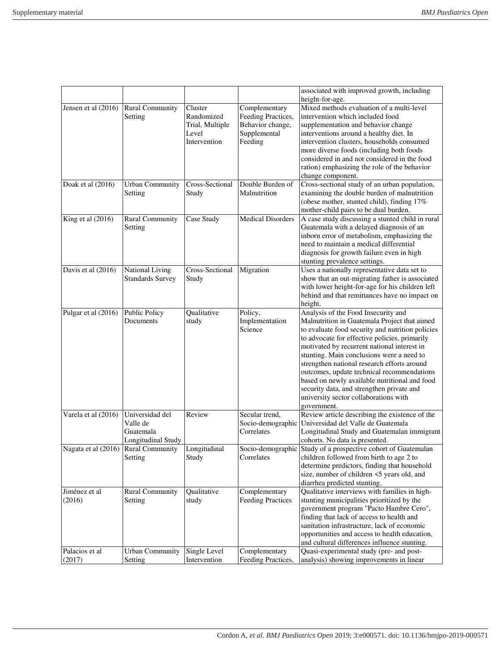|                                           |                                                                |                                                                   |                                                                                    | associated with improved growth, including<br>height-for-age.                                                                                                                                                                                                                                                                                                                                                                                                                                                                           |
|-------------------------------------------|----------------------------------------------------------------|-------------------------------------------------------------------|------------------------------------------------------------------------------------|-----------------------------------------------------------------------------------------------------------------------------------------------------------------------------------------------------------------------------------------------------------------------------------------------------------------------------------------------------------------------------------------------------------------------------------------------------------------------------------------------------------------------------------------|
| Jensen et al (2016) Rural Community       | Setting                                                        | Cluster<br>Randomized<br>Trial, Multiple<br>Level<br>Intervention | Complementary<br>Feeding Practices,<br>Behavior change,<br>Supplemental<br>Feeding | Mixed methods evaluation of a multi-level<br>intervention which included food<br>supplementation and behavior change<br>interventions around a healthy diet. In<br>intervention clusters, households consumed<br>more diverse foods (including both foods<br>considered in and not considered in the food<br>ration) emphasizing the role of the behavior<br>change component.                                                                                                                                                          |
| Doak et al (2016)                         | <b>Urban Community</b><br>Setting                              | Cross-Sectional<br>Study                                          | Double Burden of<br>Malnutrition                                                   | Cross-sectional study of an urban population,<br>examining the double burden of malnutrition<br>(obese mother, stunted child), finding 17%<br>mother-child pairs to be dual burden.                                                                                                                                                                                                                                                                                                                                                     |
| King et al (2016)                         | <b>Rural Community</b><br>Setting                              | Case Study                                                        | <b>Medical Disorders</b>                                                           | A case study discussing a stunted child in rural<br>Guatemala with a delayed diagnosis of an<br>inborn error of metabolism, emphasizing the<br>need to maintain a medical differential<br>diagnosis for growth failure even in high<br>stunting prevalence settings.                                                                                                                                                                                                                                                                    |
| Davis et al (2016)                        | National Living<br><b>Standards Survey</b>                     | Cross-Sectional<br>Study                                          | Migration                                                                          | Uses a nationally representative data set to<br>show that an out-migrating father is associated<br>with lower height-for-age for his children left<br>behind and that remittances have no impact on<br>height.                                                                                                                                                                                                                                                                                                                          |
| Pulgar et al (2016)                       | <b>Public Policy</b><br>Documents                              | Qualitative<br>study                                              | Policy,<br>Implementation<br>Science                                               | Analysis of the Food Insecurity and<br>Malnutrition in Guatemala Project that aimed<br>to evaluate food security and nutrition policies<br>to advocate for effective policies, primarily<br>motivated by recurrent national interest in<br>stunting. Main conclusions were a need to<br>strengthen national research efforts around<br>outcomes, update technical recommendations<br>based on newly available nutritional and food<br>security data, and strengthen private and<br>university sector collaborations with<br>government. |
| Varela et al (2016)                       | Universidad del<br>Valle de<br>Guatemala<br>Longitudinal Study | Review                                                            | Secular trend,<br>Socio-demographic<br>Correlates                                  | Review article describing the existence of the<br>Universidad del Valle de Guatemala<br>Longitudinal Study and Guatemalan immigrant<br>cohorts. No data is presented.                                                                                                                                                                                                                                                                                                                                                                   |
| Nagata et al (2016) Rural Community       | Setting                                                        | Longitudinal<br>Study                                             | Correlates                                                                         | Socio-demographic Study of a prospective cohort of Guatemalan<br>children followed from birth to age 2 to<br>determine predictors, finding that household<br>size, number of children <5 years old, and<br>diarrhea predicted stunting.                                                                                                                                                                                                                                                                                                 |
| Jiménez et al<br>(2016)<br>Palacios et al | <b>Rural Community</b><br>Setting<br><b>Urban Community</b>    | Qualitative<br>study<br>Single Level                              | Complementary<br><b>Feeding Practices</b><br>Complementary                         | Qualitative interviews with families in high-<br>stunting municipalities prioritized by the<br>government program "Pacto Hambre Cero",<br>finding that lack of access to health and<br>sanitation infrastructure, lack of economic<br>opportunities and access to health education,<br>and cultural differences influence stunting.<br>Quasi-experimental study (pre- and post-                                                                                                                                                         |
| (2017)                                    | Setting                                                        | Intervention                                                      | Feeding Practices,                                                                 | analysis) showing improvements in linear                                                                                                                                                                                                                                                                                                                                                                                                                                                                                                |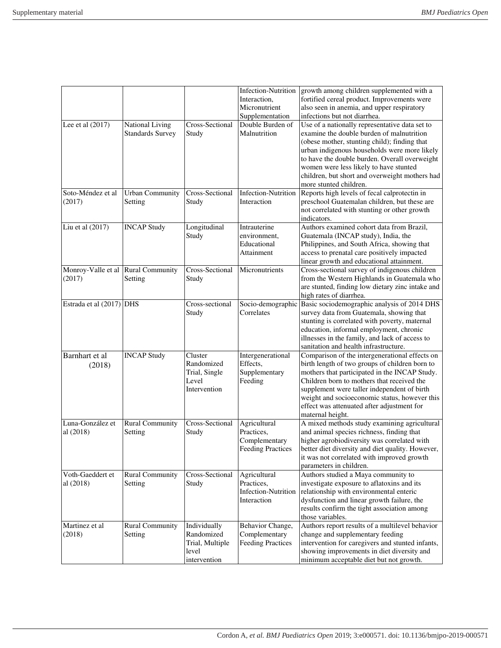|                                              |                                            |                                                                        | <b>Infection-Nutrition</b><br>Interaction,<br>Micronutrient<br>Supplementation | growth among children supplemented with a<br>fortified cereal product. Improvements were<br>also seen in anemia, and upper respiratory<br>infections but not diarrhea.                                                                                                                                                                                             |
|----------------------------------------------|--------------------------------------------|------------------------------------------------------------------------|--------------------------------------------------------------------------------|--------------------------------------------------------------------------------------------------------------------------------------------------------------------------------------------------------------------------------------------------------------------------------------------------------------------------------------------------------------------|
| Lee et al (2017)                             | National Living<br><b>Standards Survey</b> | Cross-Sectional<br>Study                                               | Double Burden of<br>Malnutrition                                               | Use of a nationally representative data set to<br>examine the double burden of malnutrition<br>(obese mother, stunting child); finding that<br>urban indigenous households were more likely<br>to have the double burden. Overall overweight<br>women were less likely to have stunted<br>children, but short and overweight mothers had<br>more stunted children. |
| Soto-Méndez et al<br>(2017)                  | Urban Community<br>Setting                 | Cross-Sectional<br>Study                                               | <b>Infection-Nutrition</b><br>Interaction                                      | Reports high levels of fecal calprotectin in<br>preschool Guatemalan children, but these are<br>not correlated with stunting or other growth<br>indicators.                                                                                                                                                                                                        |
| Liu et al (2017)                             | <b>INCAP Study</b>                         | Longitudinal<br>Study                                                  | Intrauterine<br>environment,<br>Educational<br>Attainment                      | Authors examined cohort data from Brazil,<br>Guatemala (INCAP study), India, the<br>Philippines, and South Africa, showing that<br>access to prenatal care positively impacted<br>linear growth and educational attainment.                                                                                                                                        |
| Monroy-Valle et al Rural Community<br>(2017) | Setting                                    | Cross-Sectional<br>Study                                               | Micronutrients                                                                 | Cross-sectional survey of indigenous children<br>from the Western Highlands in Guatemala who<br>are stunted, finding low dietary zinc intake and<br>high rates of diarrhea.                                                                                                                                                                                        |
| Estrada et al (2017) DHS                     |                                            | Cross-sectional<br>Study                                               | Socio-demographic<br>Correlates                                                | Basic sociodemographic analysis of 2014 DHS<br>survey data from Guatemala, showing that<br>stunting is correlated with poverty, maternal<br>education, informal employment, chronic<br>illnesses in the family, and lack of access to<br>sanitation and health infrastructure.                                                                                     |
| Barnhart et al<br>(2018)                     | <b>INCAP Study</b>                         | Cluster<br>Randomized<br>Trial, Single<br>Level<br>Intervention        | Intergenerational<br>Effects,<br>Supplementary<br>Feeding                      | Comparison of the intergenerational effects on<br>birth length of two groups of children born to<br>mothers that participated in the INCAP Study.<br>Children born to mothers that received the<br>supplement were taller independent of birth<br>weight and socioeconomic status, however this<br>effect was attenuated after adjustment for<br>maternal height.  |
| Luna-González et<br>al (2018)                | <b>Rural Community</b><br>Setting          | Cross-Sectional<br>Study                                               | Agricultural<br>Practices,<br>Complementary<br><b>Feeding Practices</b>        | A mixed methods study examining agricultural<br>and animal species richness, finding that<br>higher agrobiodiversity was correlated with<br>better diet diversity and diet quality. However,<br>it was not correlated with improved growth<br>parameters in children.                                                                                              |
| Voth-Gaeddert et<br>al (2018)                | <b>Rural Community</b><br>Setting          | Cross-Sectional<br>Study                                               | Agricultural<br>Practices.<br><b>Infection-Nutrition</b><br>Interaction        | Authors studied a Maya community to<br>investigate exposure to aflatoxins and its<br>relationship with environmental enteric<br>dysfunction and linear growth failure, the<br>results confirm the tight association among<br>those variables.                                                                                                                      |
| Martinez et al<br>(2018)                     | Rural Community<br>Setting                 | Individually<br>Randomized<br>Trial, Multiple<br>level<br>intervention | Behavior Change,<br>Complementary<br><b>Feeding Practices</b>                  | Authors report results of a multilevel behavior<br>change and supplementary feeding<br>intervention for caregivers and stunted infants,<br>showing improvements in diet diversity and<br>minimum acceptable diet but not growth.                                                                                                                                   |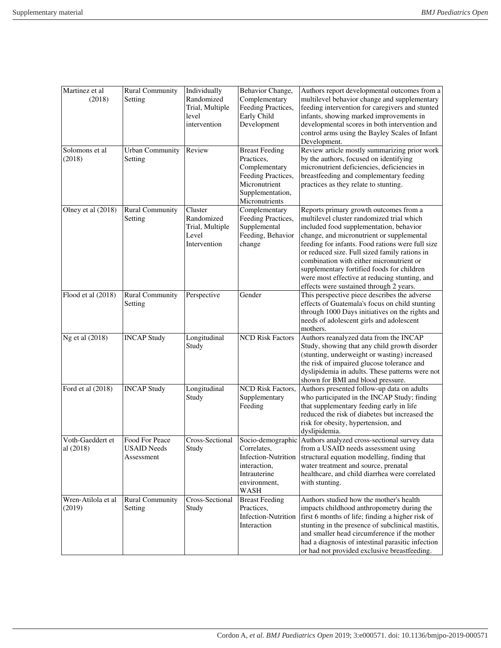| Martinez et al<br>(2018)      | <b>Rural Community</b><br>Setting                  | Individually<br>Randomized<br>Trial, Multiple<br>level<br>intervention | Behavior Change,<br>Complementary<br>Feeding Practices,<br>Early Child<br>Development                                             | Authors report developmental outcomes from a<br>multilevel behavior change and supplementary<br>feeding intervention for caregivers and stunted<br>infants, showing marked improvements in<br>developmental scores in both intervention and<br>control arms using the Bayley Scales of Infant<br>Development.                                                                                                                                                          |
|-------------------------------|----------------------------------------------------|------------------------------------------------------------------------|-----------------------------------------------------------------------------------------------------------------------------------|------------------------------------------------------------------------------------------------------------------------------------------------------------------------------------------------------------------------------------------------------------------------------------------------------------------------------------------------------------------------------------------------------------------------------------------------------------------------|
| Solomons et al<br>(2018)      | <b>Urban Community</b><br>Setting                  | Review                                                                 | <b>Breast Feeding</b><br>Practices.<br>Complementary<br>Feeding Practices,<br>Micronutrient<br>Supplementation,<br>Micronutrients | Review article mostly summarizing prior work<br>by the authors, focused on identifying<br>micronutrient deficiencies, deficiencies in<br>breastfeeding and complementary feeding<br>practices as they relate to stunting.                                                                                                                                                                                                                                              |
| Olney et al (2018)            | <b>Rural Community</b><br>Setting                  | Cluster<br>Randomized<br>Trial, Multiple<br>Level<br>Intervention      | Complementary<br>Feeding Practices,<br>Supplemental<br>Feeding, Behavior<br>change                                                | Reports primary growth outcomes from a<br>multilevel cluster randomized trial which<br>included food supplementation, behavior<br>change, and micronutrient or supplemental<br>feeding for infants. Food rations were full size<br>or reduced size. Full sized family rations in<br>combination with either micronutrient or<br>supplementary fortified foods for children<br>were most effective at reducing stunting, and<br>effects were sustained through 2 years. |
| Flood et al (2018)            | <b>Rural Community</b><br>Setting                  | Perspective                                                            | Gender                                                                                                                            | This perspective piece describes the adverse<br>effects of Guatemala's focus on child stunting<br>through 1000 Days initiatives on the rights and<br>needs of adolescent girls and adolescent<br>mothers.                                                                                                                                                                                                                                                              |
| Ng et al (2018)               | <b>INCAP Study</b>                                 | Longitudinal<br>Study                                                  | <b>NCD Risk Factors</b>                                                                                                           | Authors reanalyzed data from the INCAP<br>Study, showing that any child growth disorder<br>(stunting, underweight or wasting) increased<br>the risk of impaired glucose tolerance and<br>dyslipidemia in adults. These patterns were not<br>shown for BMI and blood pressure.                                                                                                                                                                                          |
| Ford et al (2018)             | <b>INCAP Study</b>                                 | Longitudinal<br>Study                                                  | <b>NCD Risk Factors,</b><br>Supplementary<br>Feeding                                                                              | Authors presented follow-up data on adults<br>who participated in the INCAP Study; finding<br>that supplementary feeding early in life<br>reduced the risk of diabetes but increased the<br>risk for obesity, hypertension, and<br>dyslipidemia.                                                                                                                                                                                                                       |
| Voth-Gaeddert et<br>al (2018) | Food For Peace<br><b>USAID Needs</b><br>Assessment | Cross-Sectional<br>Study                                               | Correlates,<br>Infection-Nutrition<br>interaction,<br>Intrauterine<br>environment,<br>WASH                                        | Socio-demographic Authors analyzed cross-sectional survey data<br>from a USAID needs assessment using<br>structural equation modelling, finding that<br>water treatment and source, prenatal<br>healthcare, and child diarrhea were correlated<br>with stunting.                                                                                                                                                                                                       |
| Wren-Atilola et al<br>(2019)  | <b>Rural Community</b><br>Setting                  | Cross-Sectional<br>Study                                               | <b>Breast Feeding</b><br>Practices,<br><b>Infection-Nutrition</b><br>Interaction                                                  | Authors studied how the mother's health<br>impacts childhood anthropometry during the<br>first 6 months of life; finding a higher risk of<br>stunting in the presence of subclinical mastitis,<br>and smaller head circumference if the mother<br>had a diagnosis of intestinal parasitic infection<br>or had not provided exclusive breastfeeding.                                                                                                                    |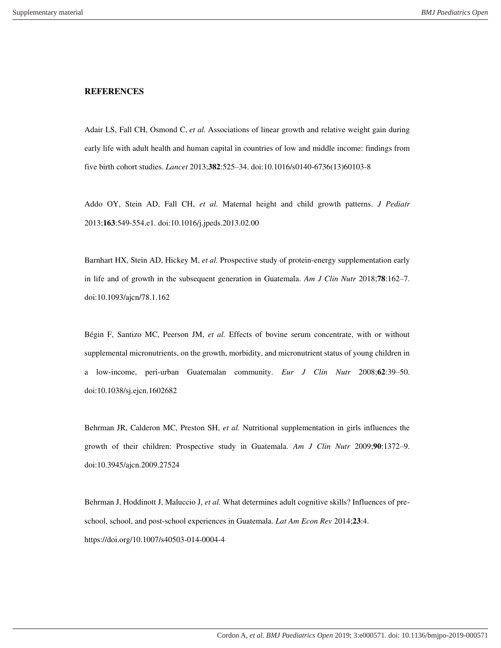## **REFERENCES**

Adair LS, Fall CH, Osmond C, *et al.* Associations of linear growth and relative weight gain during early life with adult health and human capital in countries of low and middle income: findings from five birth cohort studies. *Lancet* 2013;**382**:525–34. doi:10.1016/s0140-6736(13)60103-8

Addo OY, Stein AD, Fall CH, *et al.* Maternal height and child growth patterns. *J Pediatr* 2013;**163**:549-554.e1. doi:10.1016/j.jpeds.2013.02.00

Barnhart HX, Stein AD, Hickey M, *et al.* Prospective study of protein-energy supplementation early in life and of growth in the subsequent generation in Guatemala. *Am J Clin Nutr* 2018;**78**:162–7. doi:10.1093/ajcn/78.1.162

Bégin F, Santizo MC, Peerson JM, *et al.* Effects of bovine serum concentrate, with or without supplemental micronutrients, on the growth, morbidity, and micronutrient status of young children in a low-income, peri-urban Guatemalan community. *Eur J Clin Nutr* 2008;**62**:39–50. doi:10.1038/sj.ejcn.1602682

Behrman JR, Calderon MC, Preston SH, *et al.* Nutritional supplementation in girls influences the growth of their children: Prospective study in Guatemala. *Am J Clin Nutr* 2009;**90**:1372–9. doi:10.3945/ajcn.2009.27524

Behrman J, Hoddinott J, Maluccio J, *et al.* What determines adult cognitive skills? Influences of preschool, school, and post-school experiences in Guatemala. *Lat Am Econ Rev* 2014;**23**:4. https://doi.org/10.1007/s40503-014-0004-4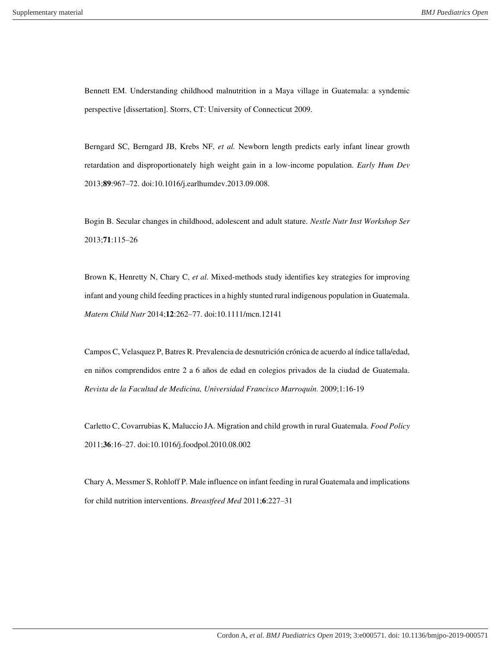Bennett EM. Understanding childhood malnutrition in a Maya village in Guatemala: a syndemic perspective [dissertation]. Storrs, CT: University of Connecticut 2009.

Berngard SC, Berngard JB, Krebs NF, *et al.* Newborn length predicts early infant linear growth retardation and disproportionately high weight gain in a low-income population. *Early Hum Dev* 2013;**89**:967–72. doi:10.1016/j.earlhumdev.2013.09.008.

Bogin B. Secular changes in childhood, adolescent and adult stature. *Nestle Nutr Inst Workshop Ser* 2013;**71**:115–26

Brown K, Henretty N, Chary C, *et al.* Mixed-methods study identifies key strategies for improving infant and young child feeding practices in a highly stunted rural indigenous population in Guatemala. *Matern Child Nutr* 2014;**12**:262–77. doi:10.1111/mcn.12141

Campos C, Velasquez P, Batres R. Prevalencia de desnutrición crónica de acuerdo al índice talla/edad, en niños comprendidos entre 2 a 6 años de edad en colegios privados de la ciudad de Guatemala. *Revista de la Facultad de Medicina, Universidad Francisco Marroquín.* 2009;1:16-19

Carletto C, Covarrubias K, Maluccio JA. Migration and child growth in rural Guatemala. *Food Policy* 2011;**36**:16–27. doi:10.1016/j.foodpol.2010.08.002

Chary A, Messmer S, Rohloff P. Male influence on infant feeding in rural Guatemala and implications for child nutrition interventions. *Breastfeed Med* 2011;**6**:227–31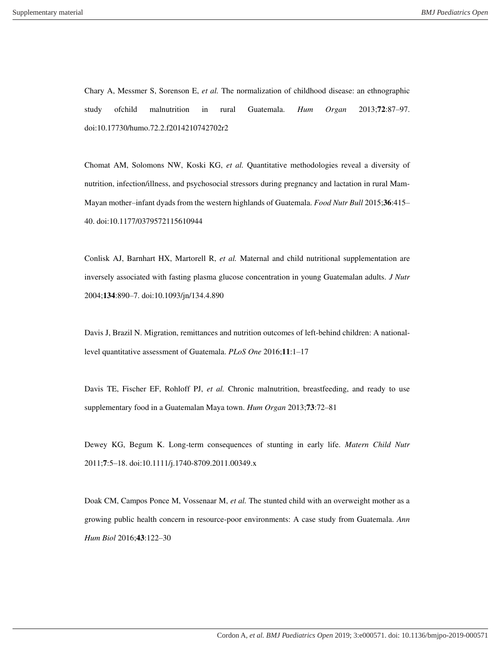Chary A, Messmer S, Sorenson E, *et al.* The normalization of childhood disease: an ethnographic study ofchild malnutrition in rural Guatemala. *Hum Organ* 2013;**72**:87–97. doi:10.17730/humo.72.2.f2014210742702r2

Chomat AM, Solomons NW, Koski KG, *et al.* Quantitative methodologies reveal a diversity of nutrition, infection/illness, and psychosocial stressors during pregnancy and lactation in rural Mam-Mayan mother–infant dyads from the western highlands of Guatemala. *Food Nutr Bull* 2015;**36**:415– 40. doi:10.1177/0379572115610944

Conlisk AJ, Barnhart HX, Martorell R, *et al.* Maternal and child nutritional supplementation are inversely associated with fasting plasma glucose concentration in young Guatemalan adults. *J Nutr* 2004;**134**:890–7. doi:10.1093/jn/134.4.890

Davis J, Brazil N. Migration, remittances and nutrition outcomes of left-behind children: A nationallevel quantitative assessment of Guatemala. *PLoS One* 2016;**11**:1–17

Davis TE, Fischer EF, Rohloff PJ, *et al.* Chronic malnutrition, breastfeeding, and ready to use supplementary food in a Guatemalan Maya town. *Hum Organ* 2013;**73**:72–81

Dewey KG, Begum K. Long-term consequences of stunting in early life. *Matern Child Nutr* 2011;**7**:5–18. doi:10.1111/j.1740-8709.2011.00349.x

Doak CM, Campos Ponce M, Vossenaar M, *et al.* The stunted child with an overweight mother as a growing public health concern in resource-poor environments: A case study from Guatemala. *Ann Hum Biol* 2016;**43**:122–30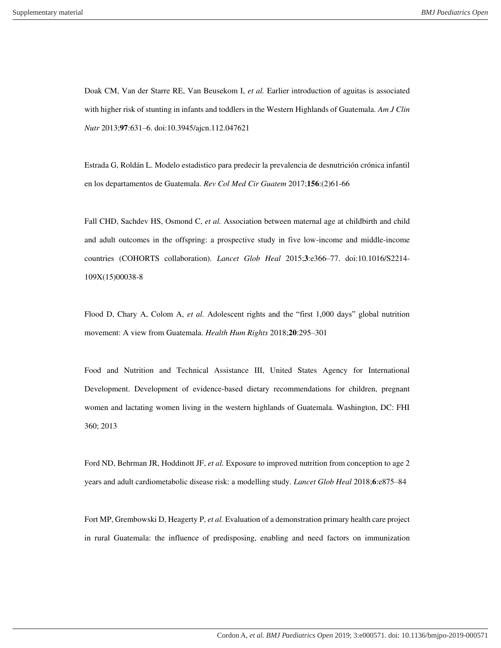Doak CM, Van der Starre RE, Van Beusekom I, *et al.* Earlier introduction of aguitas is associated with higher risk of stunting in infants and toddlers in the Western Highlands of Guatemala. *Am J Clin Nutr* 2013;**97**:631–6. doi:10.3945/ajcn.112.047621

Estrada G, Roldán L. Modelo estadistico para predecir la prevalencia de desnutrición crónica infantil en los departamentos de Guatemala. *Rev Col Med Cir Guatem* 2017;**156**:(2)61-66

Fall CHD, Sachdev HS, Osmond C, *et al.* Association between maternal age at childbirth and child and adult outcomes in the offspring: a prospective study in five low-income and middle-income countries (COHORTS collaboration). *Lancet Glob Heal* 2015;**3**:e366–77. doi:10.1016/S2214- 109X(15)00038-8

Flood D, Chary A, Colom A, *et al.* Adolescent rights and the "first 1,000 days" global nutrition movement: A view from Guatemala. *Health Hum Rights* 2018;**20**:295–301

Food and Nutrition and Technical Assistance III, United States Agency for International Development. Development of evidence-based dietary recommendations for children, pregnant women and lactating women living in the western highlands of Guatemala. Washington, DC: FHI 360; 2013

Ford ND, Behrman JR, Hoddinott JF, *et al.* Exposure to improved nutrition from conception to age 2 years and adult cardiometabolic disease risk: a modelling study. *Lancet Glob Heal* 2018;**6**:e875–84

Fort MP, Grembowski D, Heagerty P, *et al.* Evaluation of a demonstration primary health care project in rural Guatemala: the influence of predisposing, enabling and need factors on immunization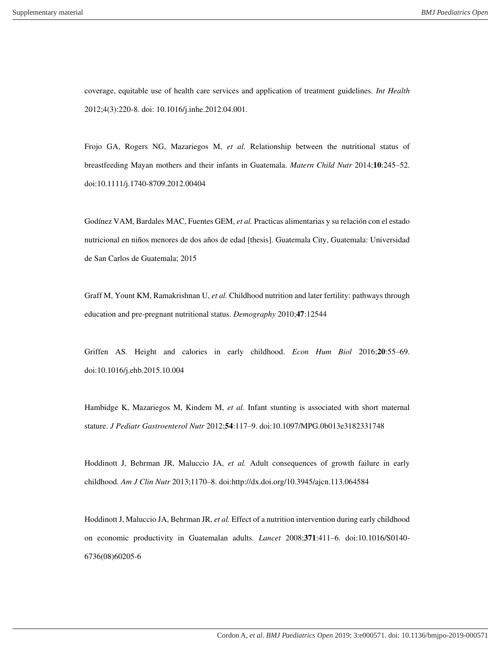coverage, equitable use of health care services and application of treatment guidelines. *Int Health*  2012;4(3):220-8. doi: 10.1016/j.inhe.2012.04.001.

Frojo GA, Rogers NG, Mazariegos M, *et al.* Relationship between the nutritional status of breastfeeding Mayan mothers and their infants in Guatemala. *Matern Child Nutr* 2014;**10**:245–52. doi:10.1111/j.1740-8709.2012.00404

Godínez VAM, Bardales MAC, Fuentes GEM, *et al.* Practicas alimentarias y su relación con el estado nutricional en niños menores de dos años de edad [thesis]. Guatemala City, Guatemala: Universidad de San Carlos de Guatemala; 2015

Graff M, Yount KM, Ramakrishnan U, *et al.* Childhood nutrition and later fertility: pathways through education and pre-pregnant nutritional status. *Demography* 2010;**47**:12544

Griffen AS. Height and calories in early childhood. *Econ Hum Biol* 2016;**20**:55–69. doi:10.1016/j.ehb.2015.10.004

Hambidge K, Mazariegos M, Kindem M, *et al.* Infant stunting is associated with short maternal stature. *J Pediatr Gastroenterol Nutr* 2012;**54**:117–9. doi:10.1097/MPG.0b013e3182331748

Hoddinott J, Behrman JR, Maluccio JA, *et al.* Adult consequences of growth failure in early childhood. *Am J Clin Nutr* 2013;1170–8. doi:http://dx.doi.org/10.3945/ajcn.113.064584

Hoddinott J, Maluccio JA, Behrman JR, *et al.* Effect of a nutrition intervention during early childhood on economic productivity in Guatemalan adults. *Lancet* 2008;**371**:411–6. doi:10.1016/S0140- 6736(08)60205-6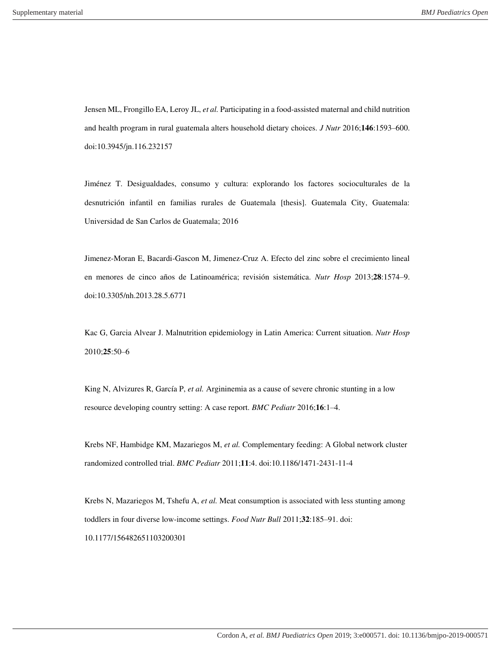Jensen ML, Frongillo EA, Leroy JL, *et al.* Participating in a food-assisted maternal and child nutrition and health program in rural guatemala alters household dietary choices. *J Nutr* 2016;**146**:1593–600. doi:10.3945/jn.116.232157

Jiménez T. Desigualdades, consumo y cultura: explorando los factores socioculturales de la desnutrición infantil en familias rurales de Guatemala [thesis]. Guatemala City, Guatemala: Universidad de San Carlos de Guatemala; 2016

Jimenez-Moran E, Bacardi-Gascon M, Jimenez-Cruz A. Efecto del zinc sobre el crecimiento lineal en menores de cinco años de Latinoamérica; revisión sistemática. *Nutr Hosp* 2013;**28**:1574–9. doi:10.3305/nh.2013.28.5.6771

Kac G, Garcia Alvear J. Malnutrition epidemiology in Latin America: Current situation. *Nutr Hosp* 2010;**25**:50–6

King N, Alvizures R, García P, *et al.* Argininemia as a cause of severe chronic stunting in a low resource developing country setting: A case report. *BMC Pediatr* 2016;**16**:1–4.

Krebs NF, Hambidge KM, Mazariegos M, *et al.* Complementary feeding: A Global network cluster randomized controlled trial. *BMC Pediatr* 2011;**11**:4. doi:10.1186/1471-2431-11-4

Krebs N, Mazariegos M, Tshefu A, *et al.* Meat consumption is associated with less stunting among toddlers in four diverse low-income settings. *Food Nutr Bull* 2011;**32**:185–91. doi: 10.1177/156482651103200301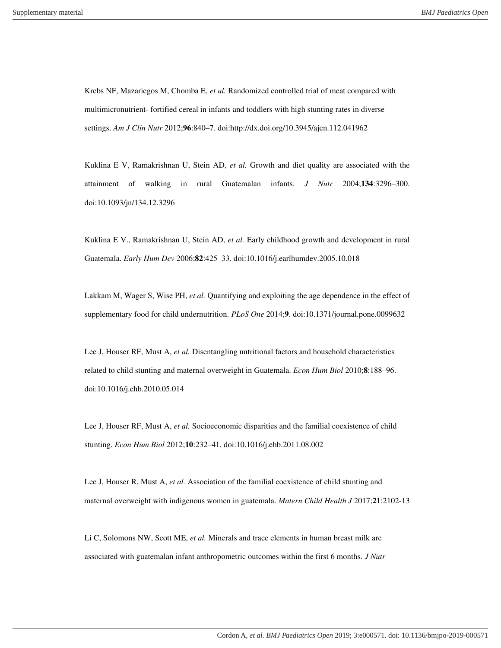Krebs NF, Mazariegos M, Chomba E, *et al.* Randomized controlled trial of meat compared with multimicronutrient- fortified cereal in infants and toddlers with high stunting rates in diverse settings. *Am J Clin Nutr* 2012;**96**:840–7. doi:http://dx.doi.org/10.3945/ajcn.112.041962

Kuklina E V, Ramakrishnan U, Stein AD, *et al.* Growth and diet quality are associated with the attainment of walking in rural Guatemalan infants. *J Nutr* 2004;**134**:3296–300. doi:10.1093/jn/134.12.3296

Kuklina E V., Ramakrishnan U, Stein AD, *et al.* Early childhood growth and development in rural Guatemala. *Early Hum Dev* 2006;**82**:425–33. doi:10.1016/j.earlhumdev.2005.10.018

Lakkam M, Wager S, Wise PH, *et al.* Quantifying and exploiting the age dependence in the effect of supplementary food for child undernutrition. *PLoS One* 2014;**9**. doi:10.1371/journal.pone.0099632

Lee J, Houser RF, Must A, *et al.* Disentangling nutritional factors and household characteristics related to child stunting and maternal overweight in Guatemala. *Econ Hum Biol* 2010;**8**:188–96. doi:10.1016/j.ehb.2010.05.014

Lee J, Houser RF, Must A, *et al.* Socioeconomic disparities and the familial coexistence of child stunting. *Econ Hum Biol* 2012;**10**:232–41. doi:10.1016/j.ehb.2011.08.002

Lee J, Houser R, Must A, *et al.* Association of the familial coexistence of child stunting and maternal overweight with indigenous women in guatemala. *Matern Child Health J* 2017;**21**:2102-13

Li C, Solomons NW, Scott ME, *et al.* Minerals and trace elements in human breast milk are associated with guatemalan infant anthropometric outcomes within the first 6 months. *J Nutr*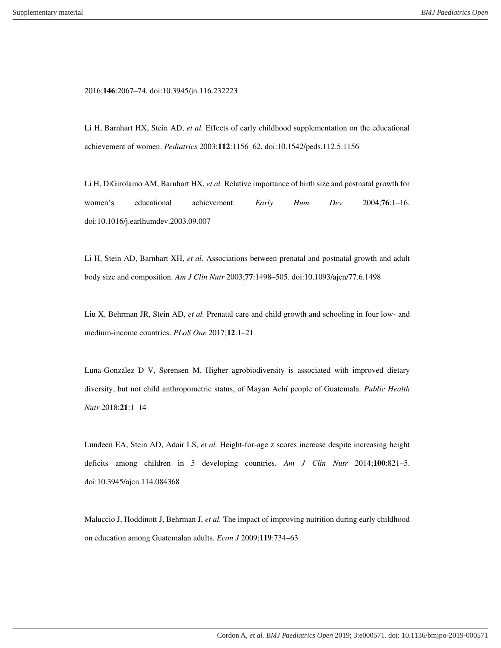2016;**146**:2067–74. doi:10.3945/jn.116.232223

Li H, Barnhart HX, Stein AD, *et al.* Effects of early childhood supplementation on the educational achievement of women. *Pediatrics* 2003;**112**:1156–62. doi:10.1542/peds.112.5.1156

Li H, DiGirolamo AM, Barnhart HX, *et al.* Relative importance of birth size and postnatal growth for women's educational achievement. *Early Hum Dev* 2004;**76**:1–16. doi:10.1016/j.earlhumdev.2003.09.007

Li H, Stein AD, Barnhart XH, *et al.* Associations between prenatal and postnatal growth and adult body size and composition. *Am J Clin Nutr* 2003;**77**:1498–505. doi:10.1093/ajcn/77.6.1498

Liu X, Behrman JR, Stein AD, *et al.* Prenatal care and child growth and schooling in four low- and medium-income countries. *PLoS One* 2017;**12**:1–21

Luna-González D V, Sørensen M. Higher agrobiodiversity is associated with improved dietary diversity, but not child anthropometric status, of Mayan Achí people of Guatemala. *Public Health Nutr* 2018;**21**:1–14

Lundeen EA, Stein AD, Adair LS, *et al.* Height-for-age z scores increase despite increasing height deficits among children in 5 developing countries. *Am J Clin Nutr* 2014;**100**:821–5. doi:10.3945/ajcn.114.084368

Maluccio J, Hoddinott J, Behrman J, *et al.* The impact of improving nutrition during early childhood on education among Guatemalan adults. *Econ J* 2009;**119**:734–63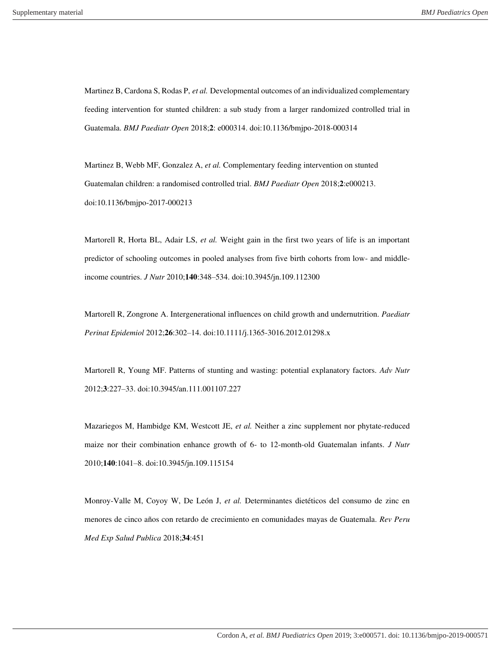Martinez B, Cardona S, Rodas P, *et al.* Developmental outcomes of an individualized complementary feeding intervention for stunted children: a sub study from a larger randomized controlled trial in Guatemala. *BMJ Paediatr Open* 2018;**2**: e000314. doi:10.1136/bmjpo-2018-000314

Martinez B, Webb MF, Gonzalez A, *et al.* Complementary feeding intervention on stunted Guatemalan children: a randomised controlled trial. *BMJ Paediatr Open* 2018;**2**:e000213. doi:10.1136/bmjpo-2017-000213

Martorell R, Horta BL, Adair LS, *et al.* Weight gain in the first two years of life is an important predictor of schooling outcomes in pooled analyses from five birth cohorts from low- and middleincome countries. *J Nutr* 2010;**140**:348–534. doi:10.3945/jn.109.112300

Martorell R, Zongrone A. Intergenerational influences on child growth and undernutrition. *Paediatr Perinat Epidemiol* 2012;**26**:302–14. doi:10.1111/j.1365-3016.2012.01298.x

Martorell R, Young MF. Patterns of stunting and wasting: potential explanatory factors. *Adv Nutr* 2012;**3**:227–33. doi:10.3945/an.111.001107.227

Mazariegos M, Hambidge KM, Westcott JE, *et al.* Neither a zinc supplement nor phytate-reduced maize nor their combination enhance growth of 6- to 12-month-old Guatemalan infants. *J Nutr* 2010;**140**:1041–8. doi:10.3945/jn.109.115154

Monroy-Valle M, Coyoy W, De León J, *et al.* Determinantes dietéticos del consumo de zinc en menores de cinco años con retardo de crecimiento en comunidades mayas de Guatemala. *Rev Peru Med Exp Salud Publica* 2018;**34**:451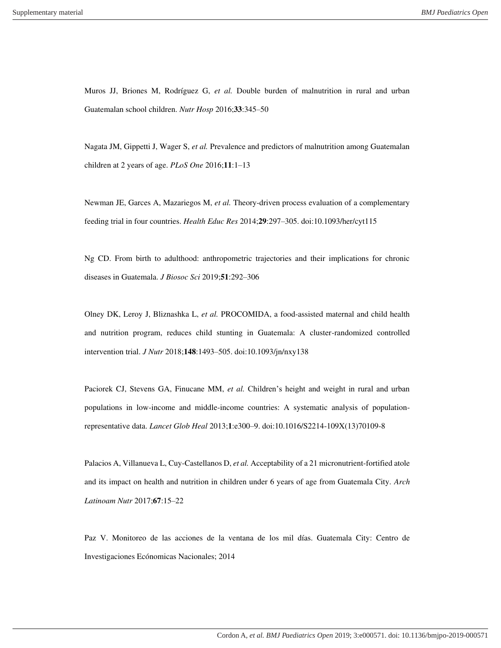Muros JJ, Briones M, Rodríguez G, *et al.* Double burden of malnutrition in rural and urban Guatemalan school children. *Nutr Hosp* 2016;**33**:345–50

Nagata JM, Gippetti J, Wager S, *et al.* Prevalence and predictors of malnutrition among Guatemalan children at 2 years of age. *PLoS One* 2016;**11**:1–13

Newman JE, Garces A, Mazariegos M, *et al.* Theory-driven process evaluation of a complementary feeding trial in four countries. *Health Educ Res* 2014;**29**:297–305. doi:10.1093/her/cyt115

Ng CD. From birth to adulthood: anthropometric trajectories and their implications for chronic diseases in Guatemala. *J Biosoc Sci* 2019;**51**:292–306

Olney DK, Leroy J, Bliznashka L, *et al.* PROCOMIDA, a food-assisted maternal and child health and nutrition program, reduces child stunting in Guatemala: A cluster-randomized controlled intervention trial. *J Nutr* 2018;**148**:1493–505. doi:10.1093/jn/nxy138

Paciorek CJ, Stevens GA, Finucane MM, *et al.* Children's height and weight in rural and urban populations in low-income and middle-income countries: A systematic analysis of populationrepresentative data. *Lancet Glob Heal* 2013;**1**:e300–9. doi:10.1016/S2214-109X(13)70109-8

Palacios A, Villanueva L, Cuy-Castellanos D, *et al.* Acceptability of a 21 micronutrient-fortified atole and its impact on health and nutrition in children under 6 years of age from Guatemala City. *Arch Latinoam Nutr* 2017;**67**:15–22

Paz V. Monitoreo de las acciones de la ventana de los mil días. Guatemala City: Centro de Investigaciones Ecónomicas Nacionales; 2014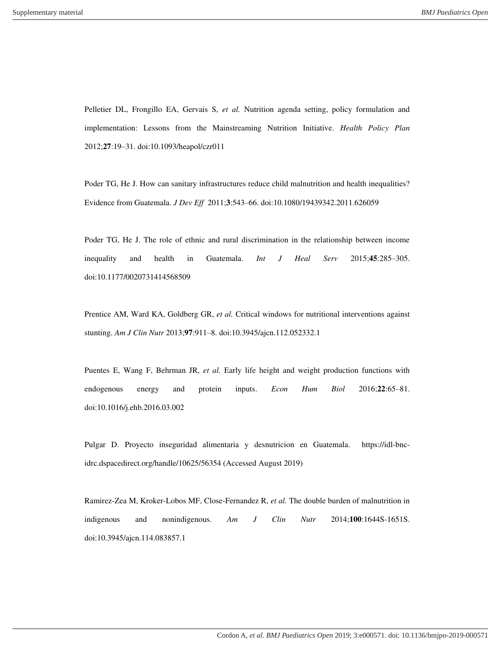Pelletier DL, Frongillo EA, Gervais S, *et al.* Nutrition agenda setting, policy formulation and implementation: Lessons from the Mainstreaming Nutrition Initiative. *Health Policy Plan* 2012;**27**:19–31. doi:10.1093/heapol/czr011

Poder TG, He J. How can sanitary infrastructures reduce child malnutrition and health inequalities? Evidence from Guatemala. *J Dev Eff* 2011;**3**:543–66. doi:10.1080/19439342.2011.626059

Poder TG, He J. The role of ethnic and rural discrimination in the relationship between income inequality and health in Guatemala. *Int J Heal Serv* 2015;**45**:285–305. doi:10.1177/0020731414568509

Prentice AM, Ward KA, Goldberg GR, *et al.* Critical windows for nutritional interventions against stunting. *Am J Clin Nutr* 2013;**97**:911–8. doi:10.3945/ajcn.112.052332.1

Puentes E, Wang F, Behrman JR, *et al.* Early life height and weight production functions with endogenous energy and protein inputs. *Econ Hum Biol* 2016;**22**:65–81. doi:10.1016/j.ehb.2016.03.002

Pulgar D. Proyecto inseguridad alimentaria y desnutricion en Guatemala. https://idl-bncidrc.dspacedirect.org/handle/10625/56354 (Accessed August 2019)

Ramirez-Zea M, Kroker-Lobos MF, Close-Fernandez R, *et al.* The double burden of malnutrition in indigenous and nonindigenous. *Am J Clin Nutr* 2014;**100**:1644S-1651S. doi:10.3945/ajcn.114.083857.1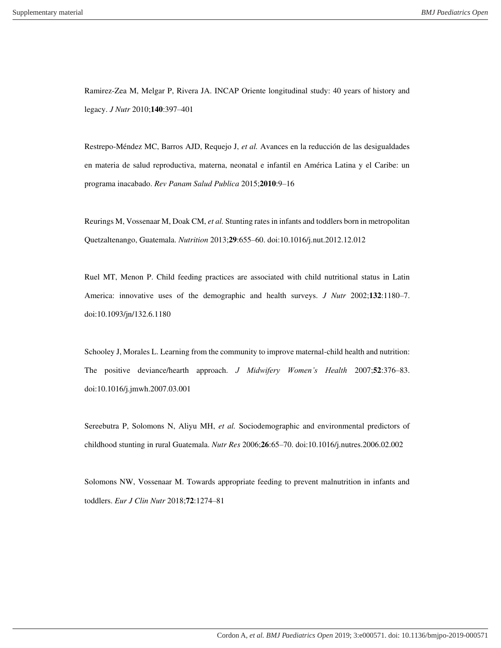Ramirez-Zea M, Melgar P, Rivera JA. INCAP Oriente longitudinal study: 40 years of history and legacy. *J Nutr* 2010;**140**:397–401

Restrepo-Méndez MC, Barros AJD, Requejo J, *et al.* Avances en la reducción de las desigualdades en materia de salud reproductiva, materna, neonatal e infantil en América Latina y el Caribe: un programa inacabado. *Rev Panam Salud Publica* 2015;**2010**:9–16

Reurings M, Vossenaar M, Doak CM, *et al.* Stunting rates in infants and toddlers born in metropolitan Quetzaltenango, Guatemala. *Nutrition* 2013;**29**:655–60. doi:10.1016/j.nut.2012.12.012

Ruel MT, Menon P. Child feeding practices are associated with child nutritional status in Latin America: innovative uses of the demographic and health surveys. *J Nutr* 2002;**132**:1180–7. doi:10.1093/jn/132.6.1180

Schooley J, Morales L. Learning from the community to improve maternal-child health and nutrition: The positive deviance/hearth approach. *J Midwifery Women's Health* 2007;**52**:376–83. doi:10.1016/j.jmwh.2007.03.001

Sereebutra P, Solomons N, Aliyu MH, *et al.* Sociodemographic and environmental predictors of childhood stunting in rural Guatemala. *Nutr Res* 2006;**26**:65–70. doi:10.1016/j.nutres.2006.02.002

Solomons NW, Vossenaar M. Towards appropriate feeding to prevent malnutrition in infants and toddlers. *Eur J Clin Nutr* 2018;**72**:1274–81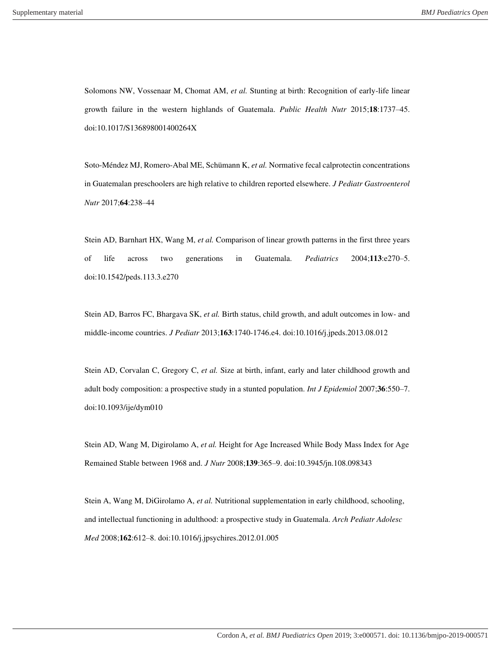Solomons NW, Vossenaar M, Chomat AM, *et al.* Stunting at birth: Recognition of early-life linear growth failure in the western highlands of Guatemala. *Public Health Nutr* 2015;**18**:1737–45. doi:10.1017/S136898001400264X

Soto-Méndez MJ, Romero-Abal ME, Schümann K, *et al.* Normative fecal calprotectin concentrations in Guatemalan preschoolers are high relative to children reported elsewhere. *J Pediatr Gastroenterol Nutr* 2017;**64**:238–44

Stein AD, Barnhart HX, Wang M, *et al.* Comparison of linear growth patterns in the first three years of life across two generations in Guatemala. *Pediatrics* 2004;**113**:e270–5. doi:10.1542/peds.113.3.e270

Stein AD, Barros FC, Bhargava SK, *et al.* Birth status, child growth, and adult outcomes in low- and middle-income countries. *J Pediatr* 2013;**163**:1740-1746.e4. doi:10.1016/j.jpeds.2013.08.012

Stein AD, Corvalan C, Gregory C, *et al.* Size at birth, infant, early and later childhood growth and adult body composition: a prospective study in a stunted population. *Int J Epidemiol* 2007;**36**:550–7. doi:10.1093/ije/dym010

Stein AD, Wang M, Digirolamo A, *et al.* Height for Age Increased While Body Mass Index for Age Remained Stable between 1968 and. *J Nutr* 2008;**139**:365–9. doi:10.3945/jn.108.098343

Stein A, Wang M, DiGirolamo A, *et al.* Nutritional supplementation in early childhood, schooling, and intellectual functioning in adulthood: a prospective study in Guatemala. *Arch Pediatr Adolesc Med* 2008;**162**:612–8. doi:10.1016/j.jpsychires.2012.01.005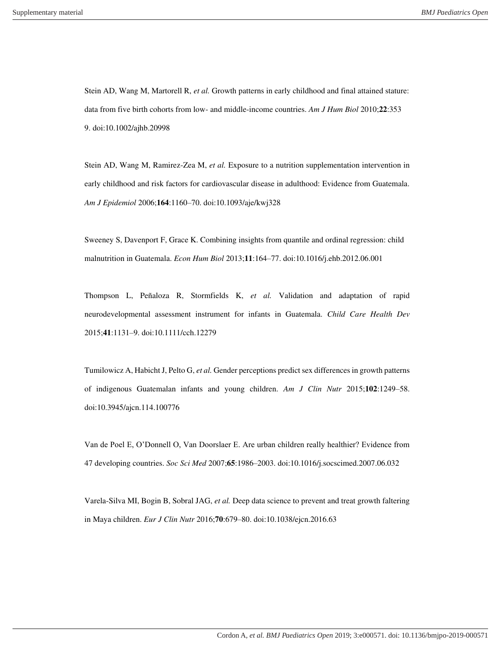Stein AD, Wang M, Martorell R, *et al.* Growth patterns in early childhood and final attained stature: data from five birth cohorts from low- and middle-income countries. *Am J Hum Biol* 2010;**22**:353 9. doi:10.1002/ajhb.20998

Stein AD, Wang M, Ramirez-Zea M, *et al.* Exposure to a nutrition supplementation intervention in early childhood and risk factors for cardiovascular disease in adulthood: Evidence from Guatemala. *Am J Epidemiol* 2006;**164**:1160–70. doi:10.1093/aje/kwj328

Sweeney S, Davenport F, Grace K. Combining insights from quantile and ordinal regression: child malnutrition in Guatemala. *Econ Hum Biol* 2013;**11**:164–77. doi:10.1016/j.ehb.2012.06.001

Thompson L, Peñaloza R, Stormfields K, *et al.* Validation and adaptation of rapid neurodevelopmental assessment instrument for infants in Guatemala. *Child Care Health Dev* 2015;**41**:1131–9. doi:10.1111/cch.12279

Tumilowicz A, Habicht J, Pelto G, *et al.* Gender perceptions predict sex differences in growth patterns of indigenous Guatemalan infants and young children. *Am J Clin Nutr* 2015;**102**:1249–58. doi:10.3945/ajcn.114.100776

Van de Poel E, O'Donnell O, Van Doorslaer E. Are urban children really healthier? Evidence from 47 developing countries. *Soc Sci Med* 2007;**65**:1986–2003. doi:10.1016/j.socscimed.2007.06.032

Varela-Silva MI, Bogin B, Sobral JAG, *et al.* Deep data science to prevent and treat growth faltering in Maya children. *Eur J Clin Nutr* 2016;**70**:679–80. doi:10.1038/ejcn.2016.63